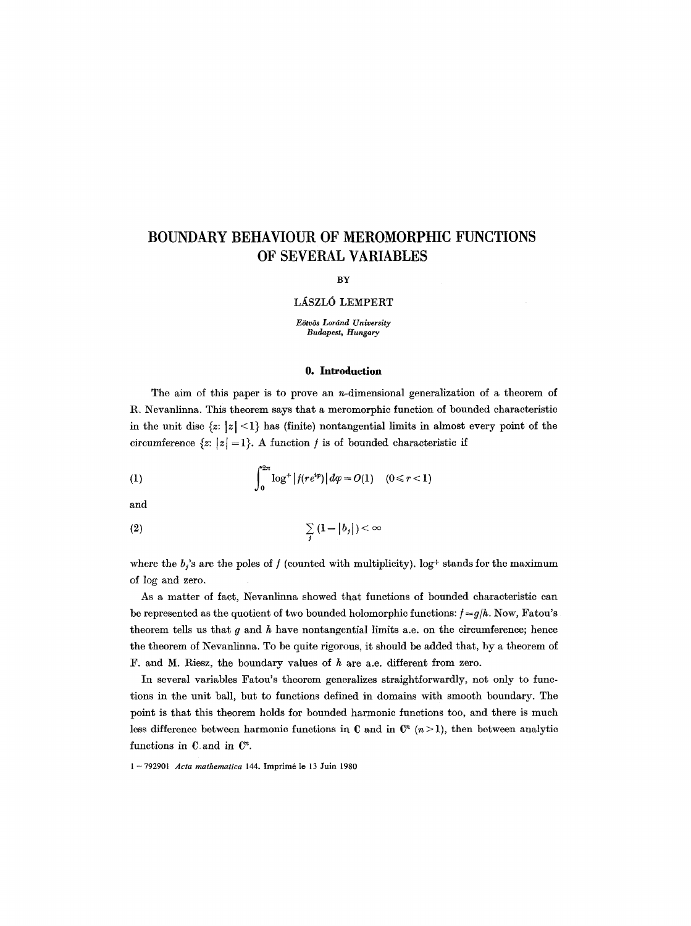# **BOUNDARY BEHAVIOUR OF MEROMORPHIC FUNCTIONS OF SEVERAL VARIABLES**

#### **BY**

## LÁSZLÓ LEMPERT

*E6tv6s Lordnd University Budapest, Hungary* 

## **O. Introduction**

The aim of this paper is to prove an n-dimensional generalization of a theorem of R. Nevanlinna. This theorem says that a meromorphic function of bounded characteristic in the unit disc  $\{z: |z| < 1\}$  has (finite) nontangential limits in almost every point of the circumference  $\{z: |z|=1\}$ . A function f is of bounded characteristic if

(1) 
$$
\int_0^{2\pi} \log^+ |f(re^{i\varphi})| d\varphi = O(1) \quad (0 \le r < 1)
$$

and

$$
\sum_{j} (1 - |b_j|) < \infty
$$

where the  $b_i$ 's are the poles of f (counted with multiplicity), log+ stands for the maximum of log and zero.

As a matter of fact, Nevanlinna showed that functions of bounded characteristic can be represented as the quotient of two bounded holomorphic functions:  $f = g/h$ . Now, Fatou's theorem tells us that  $q$  and  $h$  have nontangential limits a.e. on the circumference; hence the theorem of INevanlinna. To be quite rigorous, it should be added that, by a theorem of F. and M. Riesz, the boundary values of  $h$  are a.e. different from zero.

In several variables Fatou's theorem generalizes straightforwardly, not only to functions in the unit ball, but to functions defined in domains with smooth boundary. The point is that this theorem holds for bounded harmonic functions too, and there is much less difference between harmonic functions in C and in  $\mathbb{C}^n$  ( $n > 1$ ), then between analytic functions in  $C$  and in  $C<sup>n</sup>$ .

**1 -792901** *Acta mathematica* 144. Imprim6 le 13 Juin 1980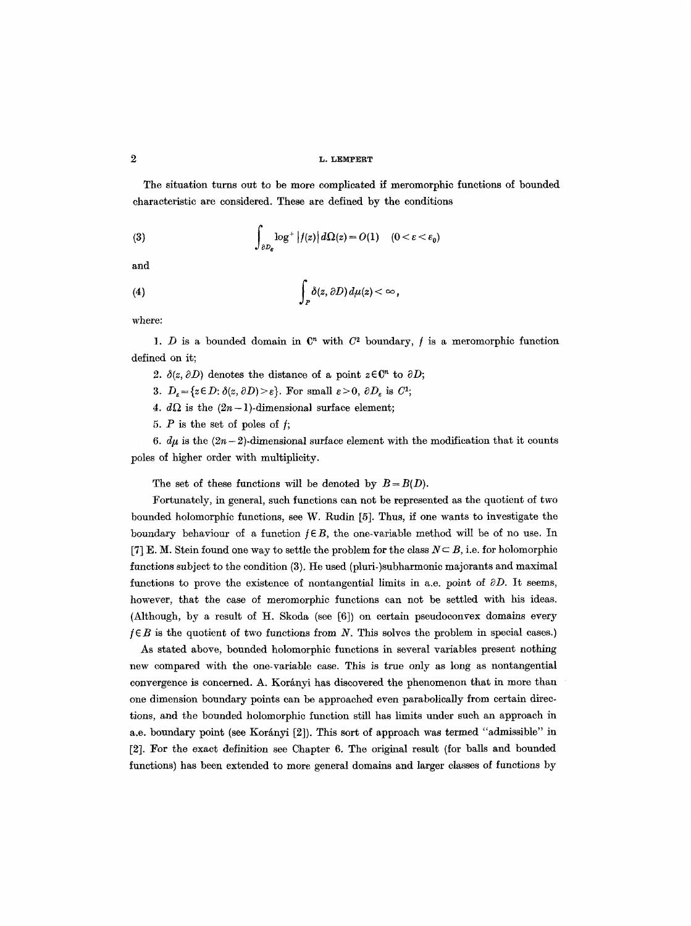The situation turns out to be more complicated if meromorphic functions of bounded characteristic are considered. These are defined by the conditions

(3) 
$$
\int_{\partial D_{\varepsilon}} \log^+ |f(z)| d\Omega(z) = O(1) \quad (0 < \varepsilon < \varepsilon_0)
$$

and

(4) 
$$
\int_P \delta(z, \partial D) d\mu(z) < \infty,
$$

where:

1. D is a bounded domain in  $\mathbb{C}^n$  with  $C^2$  boundary, f is a meromorphic function defined on it;

- 2.  $\delta(z, \partial D)$  denotes the distance of a point  $z \in \mathbb{C}^n$  to  $\partial D$ ;
- 3.  $D_{\varepsilon} = \{z \in D: \delta(z, \partial D) \ge \varepsilon\}$ . For small  $\varepsilon > 0$ ,  $\partial D_{\varepsilon}$  is  $C^1$ ;
- 4.  $d\Omega$  is the  $(2n-1)$ -dimensional surface element;
- 5.  $P$  is the set of poles of  $f$ ;

6.  $d\mu$  is the  $(2n-2)$ -dimensional surface element with the modification that it counts poles of higher order with multiplicity.

The set of these functions will be denoted by  $B = B(D)$ .

Fortunately, in general, such functions can not be represented as the quotient of two bounded holomorphic functions, see W. Rudin [5]. Thus, if one wants to investigate the boundary behaviour of a function  $f \in B$ , the one-variable method will be of no use. In [7] E. M. Stein found one way to settle the problem for the class  $N \subseteq B$ , i.e. for holomorphic functions subject to the condition (3). He used (pluri-)subharmonic majorants and maximal functions to prove the existence of nontangential limits in a.e. point of  $\partial D$ . It seems, however, that the case of meromorphic functions can not be settled with his ideas. (Although, by a result of H. Skoda (see [6]) on certain pseudoconvex domains every  $f \in B$  is the quotient of two functions from N. This solves the problem in special cases.)

As stated above, bounded holomorphic functions in several variables present nothing new compared with the one-variable case. This is true only as long as nontangential convergence is concerned. A. Korányi has discovered the phenomenon that in more than one dimension boundary points can be approached even parabolieally from certain directions, and the bounded holomorphic function still has limits under such an approach in a.e. boundary point (see Korányi [2]). This sort of approach was termed "admissible" in [2]. For the exact definition see Chapter 6. The original result (for balls and bounded functions) has been extended to more general domains and larger classes of functions by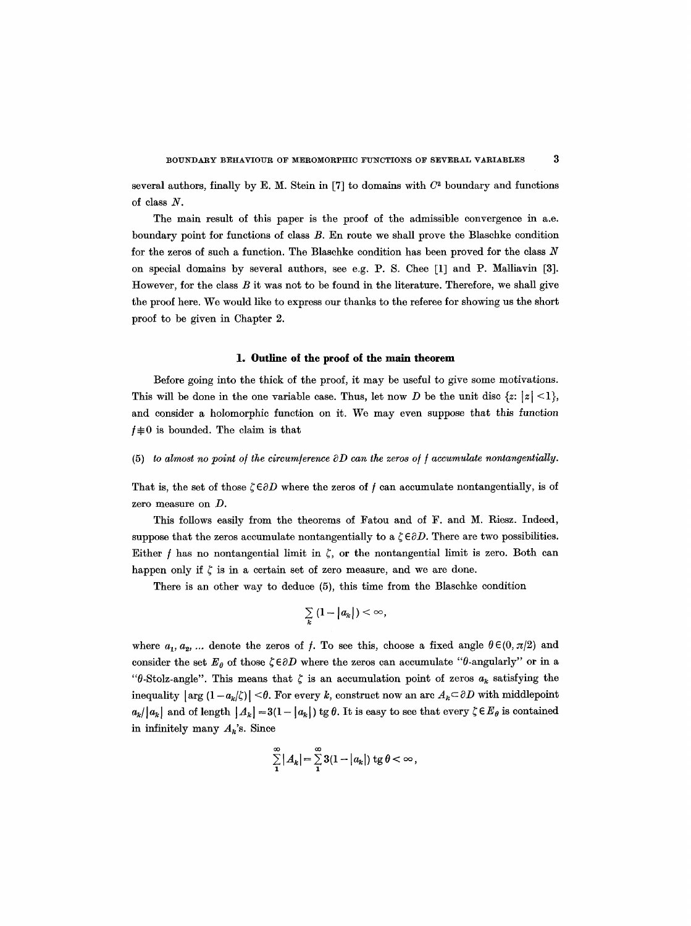several authors, finally by E. M. Stein in [7] to domains with  $C<sup>2</sup>$  boundary and functions of class N.

The main result of this paper is the proof of the admissible convergence in a.e. boundary point for functions of class B. En route we shall prove the Blaschke condition for the zeros of such a function. The Blaschke condition has been proved for the class  $N$ on special domains by several authors, see e.g.P.S. Chee [1] and P. Malliavin [3]. However, for the class  $B$  it was not to be found in the literature. Therefore, we shall give the proof here. We would like to express our thanks to the referee for showing us the short proof to be given in Chapter 2.

#### **1. Outline of the proof of the main theorem**

Before going into the thick of the proof, it may be useful to give some motivations. This will be done in the one variable case. Thus, let now D be the unit disc  $\{z: |z| < 1\}$ , and consider a holomorphic function on it. We may even suppose that this function  $f \not\equiv 0$  is bounded. The claim is that

#### (5) *to almost no point of the circumference*  $\partial D$  *can the zeros of f accumulate nontangentially.*

That is, the set of those  $\zeta \in \partial D$  where the zeros of f can accumulate nontangentially, is of zero measure on D.

This follows easily from the theorems of Fatou and of F. and M. Riesz. Indeed, suppose that the zeros accumulate nontangentially to a  $\zeta \in \partial D$ . There are two possibilities. Either f has no nontangential limit in  $\zeta$ , or the nontangential limit is zero. Both can happen only if  $\zeta$  is in a certain set of zero measure, and we are done.

There is an other way to deduce (5), this time from the Blaschke condition

$$
\sum_{k} (1 - |a_k|) < \infty,
$$

where  $a_1, a_2, \ldots$  denote the zeros of f. To see this, choose a fixed angle  $\theta \in (0, \pi/2)$  and consider the set  $E_{\theta}$  of those  $\zeta \in \partial D$  where the zeros can accumulate " $\theta$ -angularly" or in a " $\theta$ -Stolz-angle". This means that  $\zeta$  is an accumulation point of zeros  $a_k$  satisfying the inequality  $|\arg (1 - a_k/\zeta)| < \theta$ . For every k, construct now an arc  $A_k \subset \partial D$  with middlepoint  $a_k/|a_k|$  and of length  $|A_k| = 3(1 - |a_k|)$  tg  $\theta$ . It is easy to see that every  $\zeta \in E_\theta$  is contained in infinitely many  $A_k$ 's. Since

$$
\sum_{1}^{\infty} |A_k| = \sum_{1}^{\infty} 3(1-|a_k|) \text{ tg } \theta < \infty,
$$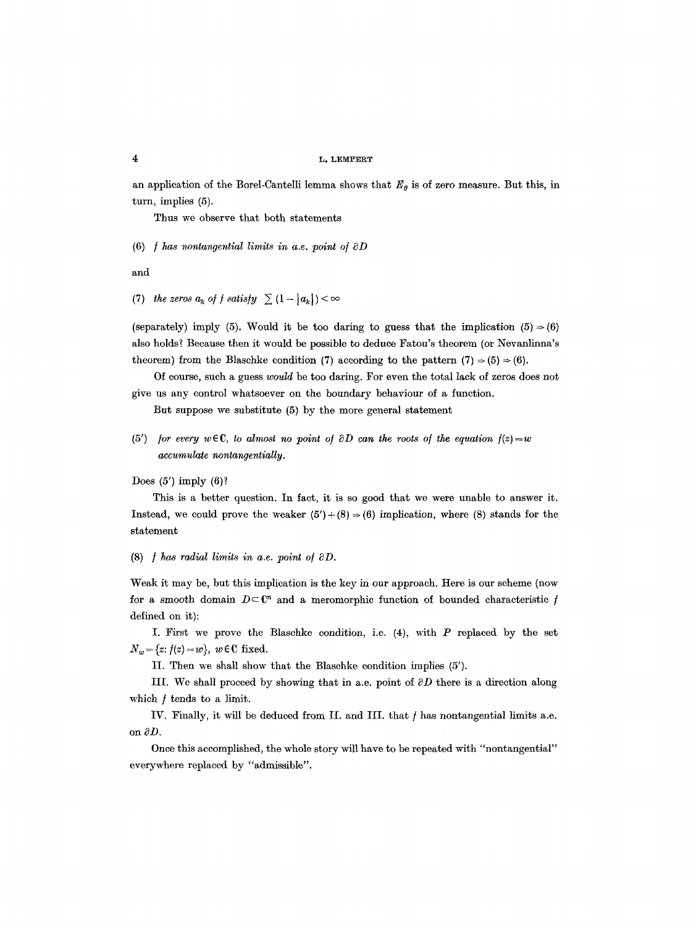an application of the Borel-Cantelli lemma shows that  $E_{\theta}$  is of zero measure. But this, in turn, implies (5).

Thus we observe that both statements

 $(6)$  *f* has nontangential limits in a.e. point of  $\partial D$ 

and

(7) the zeros  $a_k$  of f satisfy  $\sum (1-|a_k|) < \infty$ 

(separately) imply (5). Would it be too daring to guess that the implication (5)  $\Rightarrow$  (6) also holds? Because then it would be possible to deduce Fatou's theorem (or Nevanlinna's theorem) from the Blaschke condition (7) according to the pattern  $(7) \Rightarrow (5) \Rightarrow (6)$ .

Of course, such a guess *would* be too daring. For even the total lack of zeros does not give us any control whatsoever on the boundary behaviour of a function.

But suppose we substitute (5) by the more general statement

(5') *for every*  $w \in \mathbb{C}$ , to almost no point of  $\partial D$  can the roots of the equation  $f(z) = w$ *accumulate nontangentiaUy.* 

Does  $(5')$  imply  $(6)$ ?

This is a better question. In fact, it is so good that we were unable to answer it. Instead, we could prove the weaker  $(5') + (8) \Rightarrow (6)$  implication, where (8) stands for the statement

(8)  $$ 

Weak it may be, but this implication is the key in our approach. Here is our scheme (now for a smooth domain  $D \subset \mathbb{C}^n$  and a meromorphic function of bounded characteristic f defined on it):

I. First we prove the Blaschke condition, i.e.  $(4)$ , with P replaced by the set  $N_w = \{z: f(z) = w\}, w \in \mathbb{C}$  fixed.

II. Then we shall show that the Blaschke condition implies (5').

III. We shall proceed by showing that in a.e. point of  $\partial D$  there is a direction along which  $f$  tends to a limit.

IV. Finally, it will be deduced from II. and III. that / has nontangential limits a.e. on  $\partial D$ .

Once this accomplished, the whole story will have to be repeated with "nontangential" everywhere replaced by "admissible".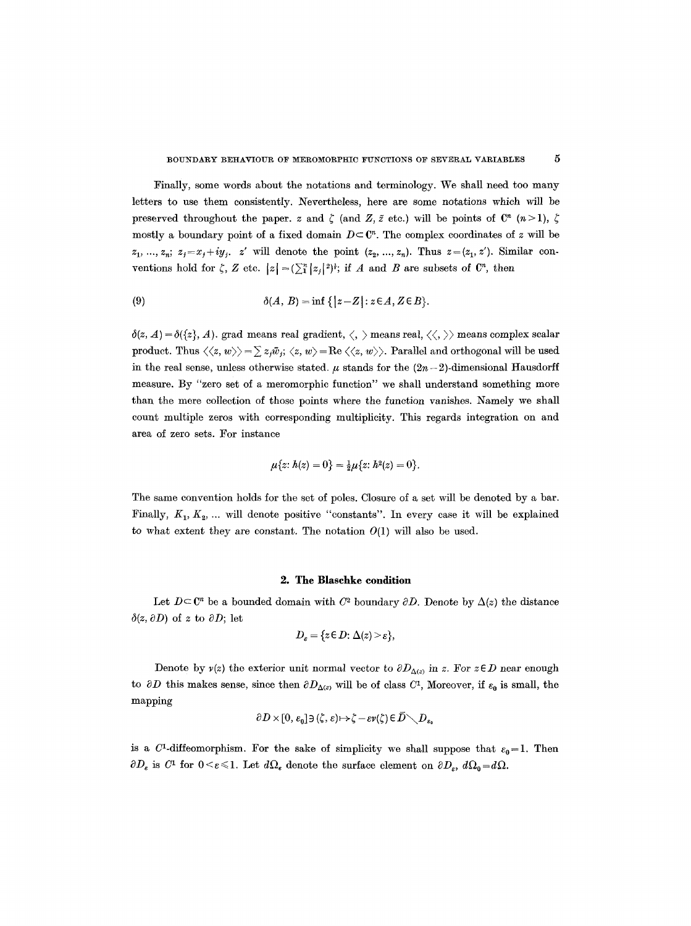Finally, some words about the notations and terminology. We shall need too many letters to use them consistently. Nevertheless, here are some notations which will be preserved throughout the paper, z and  $\zeta$  (and Z,  $\zeta$  etc.) will be points of  $\mathbb{C}^n$  (n>1),  $\zeta$ mostly a boundary point of a fixed domain  $D \subset \mathbb{C}^n$ . The complex coordinates of z will be  $z_1, ..., z_n; z_j = x_j + iy_j, z'$  will denote the point  $(z_2, ..., z_n)$ . Thus  $z = (z_1, z')$ . Similar conventions hold for  $\zeta$ , Z etc.  $|z| = (\sum_{i=1}^{n} |z_i|^2)^{\frac{1}{2}}$ ; if A and B are subsets of  $\mathbb{C}^n$ , then

(9) 
$$
\delta(A, B) = \inf \{ |z - Z| : z \in A, Z \in B \}.
$$

 $\delta(z, A) = \delta({z}, A)$ . grad means real gradient,  $\langle, \rangle$  means real,  $\langle \langle, \rangle \rangle$  means complex scalar product. Thus  $\langle\langle z, w\rangle\rangle = \sum z_i \bar{w}_i$ ;  $\langle z, w\rangle = \text{Re}\langle\langle z, w\rangle\rangle$ . Parallel and orthogonal will be used in the real sense, unless otherwise stated.  $\mu$  stands for the  $(2n-2)$ -dimensional Hausdorff measure. By "zero set of a meromorphic function" we shall understand something more than the mere collection of those points where the function vanishes. Namely we shall count multiple zeros with corresponding multiplicity. This regards integration on and area of zero sets. For instance

$$
\mu\{z: h(z) = 0\} = \frac{1}{2}\mu\{z: h^2(z) = 0\}.
$$

The same convention holds for the set of poles. Closure of a set will be denoted by a bar. Finally,  $K_1, K_2, \ldots$  will denote positive "constants". In every case it will be explained to what extent they are constant. The notation  $O(1)$  will also be used.

#### **2. The Blaschke condition**

Let  $D \subset \mathbb{C}^n$  be a bounded domain with  $C^2$  boundary  $\partial D$ . Denote by  $\Delta(z)$  the distance  $\delta(z, \partial D)$  of z to  $\partial D$ ; let

$$
D_{\varepsilon} = \{ z \in D \colon \Delta(z) > \varepsilon \},\
$$

Denote by  $v(z)$  the exterior unit normal vector to  $\partial D_{\Delta(z)}$  in z. For  $z \in D$  near enough to  $\partial D$  this makes sense, since then  $\partial D_{\Delta(z)}$  will be of class C<sup>1</sup>, Moreover, if  $\varepsilon_0$  is small, the mapping

$$
\partial D \times [0, \varepsilon_0] \ni (\zeta, \varepsilon) \mapsto \zeta - \varepsilon v(\zeta) \in D \diagdown D_{\varepsilon_0}
$$

is a C<sup>1</sup>-diffeomorphism. For the sake of simplicity we shall suppose that  $\varepsilon_0 = 1$ . Then  $\partial D_{\varepsilon}$  is  $C^1$  for  $0 \leq \varepsilon \leq 1$ . Let  $d\Omega_{\varepsilon}$  denote the surface element on  $\partial D_{\varepsilon}$ ,  $d\Omega_0 = d\Omega$ .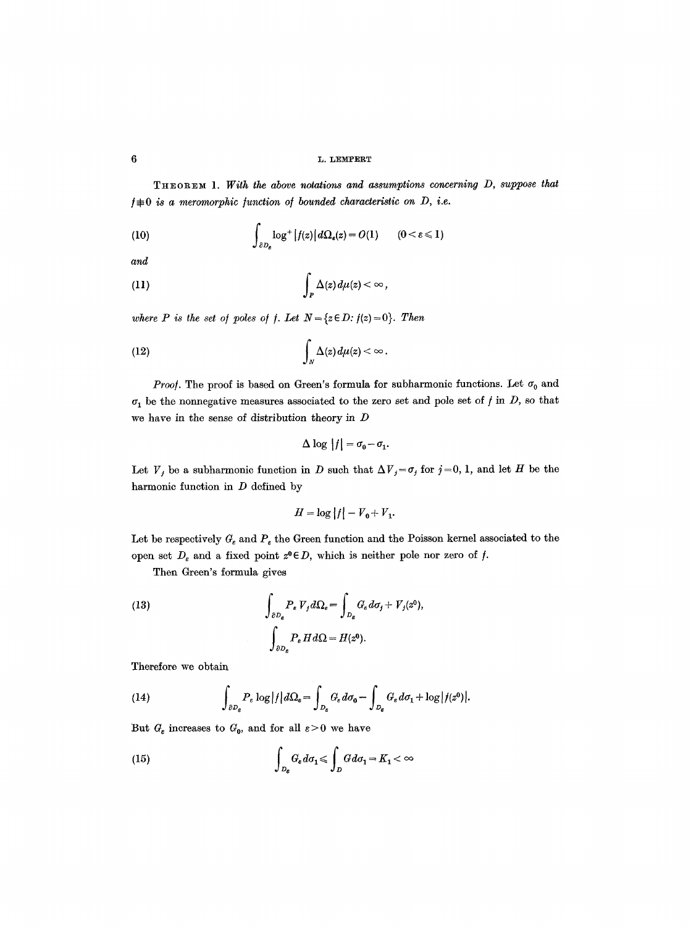THEOREM 1. *With the above* notation8 *and assumptions concerning D, suppose* that  $f \not\equiv 0$  is a meromorphic function of bounded characteristic on D, i.e.

(10) 
$$
\int_{\partial D_{\varepsilon}} \log^+ |f(z)| d\Omega_{\varepsilon}(z) = O(1) \qquad (0 < \varepsilon \leq 1)
$$

*and* 

(11) 
$$
\int_P \Delta(z) d\mu(z) < \infty,
$$

*where P is the set of poles of f. Let*  $N = \{z \in D : f(z) = 0\}$ . *Then* 

(12) 
$$
\int_{N} \Delta(z) d\mu(z) < \infty.
$$

*Proof.* The proof is based on Green's formula for subharmonic functions. Let  $\sigma_0$  and  $\sigma_1$  be the nonnegative measures associated to the zero set and pole set of */* in *D*, so that we have in the sense of distribution theory in  $D$ 

$$
\Delta \log |f| = \sigma_0 - \sigma_1.
$$

Let  $V_j$  be a subharmonic function in D such that  $\Delta V_j = \sigma_j$  for  $j=0, 1$ , and let H be the harmonic function in  $D$  defined by

$$
H = \log |f| - V_0 + V_1.
$$

Let be respectively  $G_{\varepsilon}$  and  $P_{\varepsilon}$  the Green function and the Poisson kernel associated to the open set  $D_{\varepsilon}$  and a fixed point  $z^0 \in D$ , which is neither pole nor zero of f.

Then Green's formula gives

(13) 
$$
\int_{\partial D_{\epsilon}} P_{\epsilon} V_{j} d\Omega_{\epsilon} = \int_{D_{\epsilon}} G_{\epsilon} d\sigma_{j} + V_{j}(z^{0}),
$$

$$
\int_{\partial D_{\epsilon}} P_{\epsilon} H d\Omega = H(z^{0}).
$$

Therefore we obtain

(14) 
$$
\int_{\partial D_{\varepsilon}} P_{\varepsilon} \log |f| d\Omega_{\varepsilon} = \int_{D_{\varepsilon}} G_{\varepsilon} d\sigma_0 - \int_{D_{\varepsilon}} G_{\varepsilon} d\sigma_1 + \log |f(z^0)|.
$$

But  $G_{\varepsilon}$  increases to  $G_0$ , and for all  $\varepsilon > 0$  we have

(15) 
$$
\int_{D_{\varepsilon}} G_{\varepsilon} d\sigma_1 \leq \int_{D} G d\sigma_1 = K_1 < \infty
$$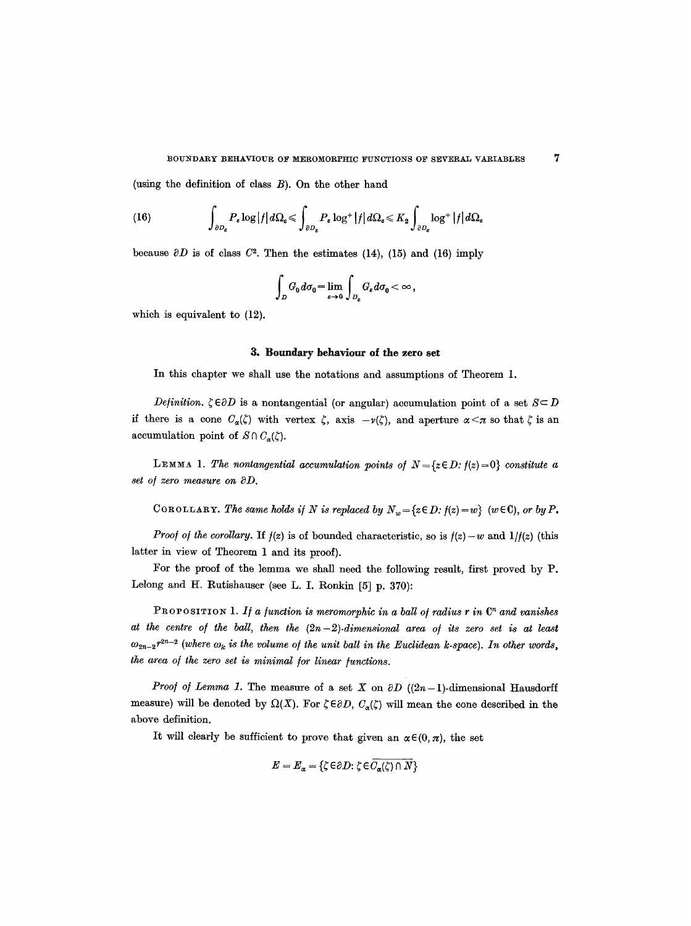(using the definition of class  $B$ ). On the other hand

(16) 
$$
\int_{\partial D_{\varepsilon}} P_{\varepsilon} \log |f| d\Omega_{\varepsilon} \leq \int_{\partial D_{\varepsilon}} P_{\varepsilon} \log^{+} |f| d\Omega_{\varepsilon} \leq K_2 \int_{\partial D_{\varepsilon}} \log^{+} |f| d\Omega_{\varepsilon}
$$

because  $\partial D$  is of class  $C^2$ . Then the estimates (14), (15) and (16) imply

$$
\int_D G_0 d\sigma_0 = \lim_{\epsilon \to 0} \int_{D_{\epsilon}} G_{\epsilon} d\sigma_0 < \infty ,
$$

which is equivalent to (12).

#### **3. Boundary behaviour of the zero set**

In this chapter we shall use the notations and assumptions of Theorem 1.

*Definition.*  $\zeta \in \partial D$  is a nontangential (or angular) accumulation point of a set  $S \subset D$ if there is a cone  $C_{\alpha}(\zeta)$  with vertex  $\zeta$ , axis  $-v(\zeta)$ , and aperture  $\alpha < \pi$  so that  $\zeta$  is an accumulation point of  $S \cap C_{\alpha}(\zeta)$ .

LEMMA 1. The nontangential accumulation points of  $N = \{z \in D : f(z) = 0\}$  constitute a *set o/ zero measure on ~D.* 

COROLLARY. The same holds if N is replaced by  $N_w = \{z \in D : f(z) = w\}$   $(w \in C)$ , or by P.

*Proof of the corollary.* If  $f(z)$  is of bounded characteristic, so is  $f(z) - w$  and  $1/f(z)$  (this latter in view of Theorem 1 and its proof).

For the proof of the lemma we shall need the following result, first proved by P. Lelong and H. Rutishauser (see L. I. Ronkin [5] p. 370):

**PROFOSITION** 1. If a function is meromorphic in a ball of radius r in  $\mathbb{C}^n$  and vanishes at the centre of the ball, then the  $(2n-2)$ -dimensional area of its zero set is at least  $\omega_{2n-2} r^{2n-2}$  (where  $\omega_k$  is the volume of the unit ball in the Euclidean k-space). In other words, *the area of the zero set is minimal for linear functions.* 

*Proof of Lemma 1.* The measure of a set X on  $\partial D$  ((2n-1)-dimensional Hausdorff measure) will be denoted by  $\Omega(X)$ . For  $\zeta \in \partial D$ ,  $C_{\alpha}(\zeta)$  will mean the cone described in the above definition.

It will clearly be sufficient to prove that given an  $\alpha \in (0, \pi)$ , the set

$$
E = E_{\alpha} = \{ \zeta \in \partial D \colon \zeta \in C_{\alpha}(\zeta) \cap N \}
$$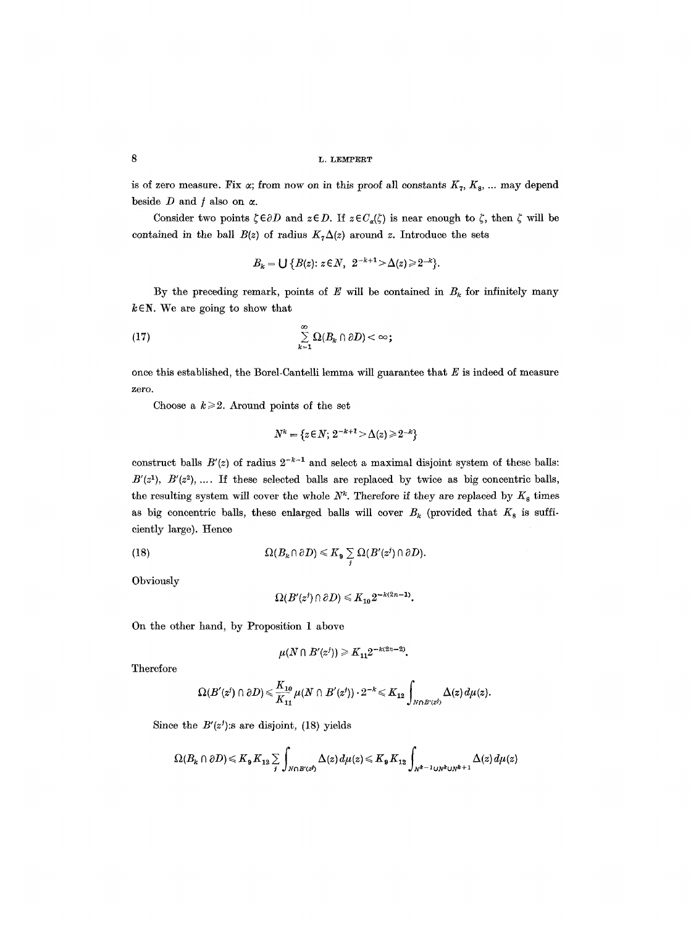is of zero measure. Fix  $\alpha$ ; from now on in this proof all constants  $K_7, K_8, \ldots$  may depend beside  $D$  and  $f$  also on  $\alpha$ .

Consider two points  $\zeta \in \partial D$  and  $z \in D$ . If  $z \in C_{\alpha}(\zeta)$  is near enough to  $\zeta$ , then  $\zeta$  will be contained in the ball  $B(z)$  of radius  $K<sub>7</sub>\Delta(z)$  around z. Introduce the sets

$$
B_k = \bigcup \{ B(z) : z \in N, \ \ 2^{-k+1} > \Delta(z) \geq 2^{-k} \}.
$$

By the preceding remark, points of  $E$  will be contained in  $B_k$  for infinitely many  $k \in \mathbb{N}$ . We are going to show that

$$
(17) \qquad \qquad \sum_{k=1}^{\infty} \Omega(B_k \cap \partial D) < \infty;
$$

once this established, the Borel-Cantelli lemma will guarantee that  $E$  is indeed of measure zero.

Choose a  $k \geq 2$ . Around points of the set

$$
N^k = \{ z \in N; \, 2^{-k+1} > \Delta(z) \geqslant 2^{-k} \}
$$

construct balls  $B'(z)$  of radius  $2^{-k-1}$  and select a maximal disjoint system of these balls:  $B'(z<sup>1</sup>), B'(z<sup>2</sup>), ...$  If these selected balls are replaced by twice as big concentric balls, the resulting system will cover the whole  $N^k$ . Therefore if they are replaced by  $K_s$  times as big concentric balls, these enlarged balls will cover  $B_k$  (provided that  $K_8$  is sufficiently large). Hence

(18) 
$$
\Omega(B_k \cap \partial D) \leq K_{\mathfrak{g}} \sum_j \Omega(B'(z^j) \cap \partial D).
$$

**Obviously** 

$$
\Omega(B'(z')\cap \partial D)\leqslant K_{10}2^{-k(2n-1)}.
$$

On the other hand, by Proposition 1 above

$$
\mu(N \cap B'(z^{j})) \geq K_{11} 2^{-k(2n-2)}.
$$

Therefore

$$
\Omega(B'(z')\cap \partial D)\!<\!\frac{K_{10}}{K_{11}}\mu(N\cap B'(z'))\cdot 2^{-k}\!<\!K_{12}\int_{N\cap B'(z^j)}\Delta(z)\,d\mu(z).
$$

Since the  $B'(z')$ : s are disjoint, (18) yields

$$
\Omega(B_k\cap \partial D) \leqslant K_\mathbf{9} K_{12} \sum_j \int_{N\cap B'(z^j)} \Delta(z) \, d\mu(z) \leqslant K_\mathbf{9} K_{12} \int_{N^{k-1} \cup N^k \cup N^{k+1}} \Delta(z) \, d\mu(z)
$$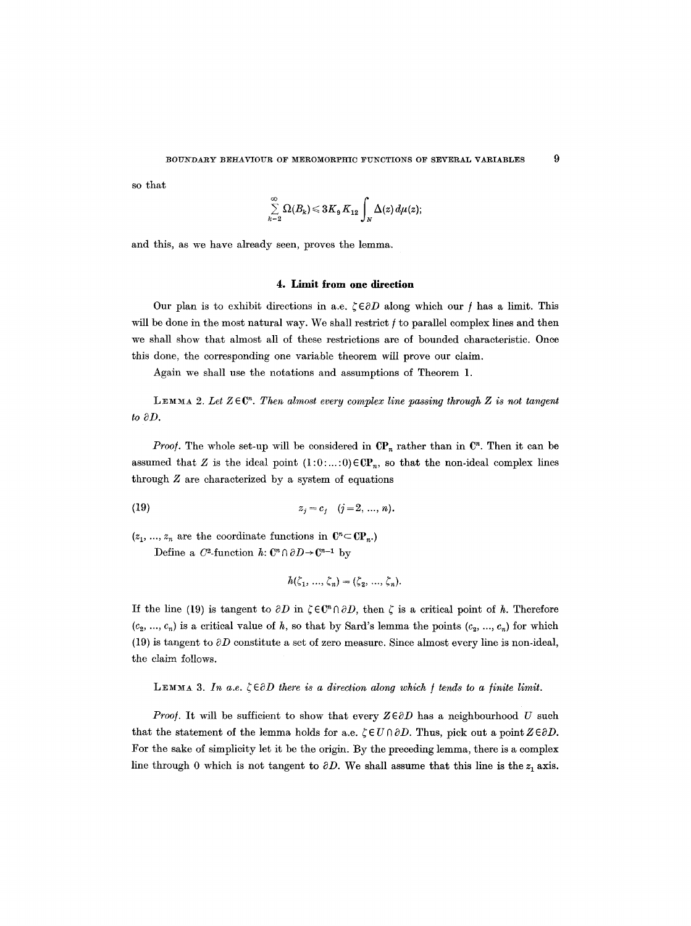so that

$$
\sum_{k=2}^{\infty}\Omega(B_k)\!\leqslant\!3K_{\mathfrak{g}}\,K_{12}\int_{N}\Delta(z)\,d\mu(z);
$$

and this, as we have already seen, proves the lemma.

#### **4. Limit from one direction**

Our plan is to exhibit directions in a.e.  $\zeta \in \partial D$  along which our f has a limit. This will be done in the most natural way. We shall restrict  $f$  to parallel complex lines and then we shall show that almost all of these restrictions are of bounded characteristic. Once this done, the corresponding one variable theorem will prove our claim.

Again we shall use the notations and assumptions of Theorem 1.

**LEMMA 2.** Let  $Z \in \mathbb{C}^n$ . Then almost every complex line passing through Z is not tangent  $to \partial D$ .

*Proof.* The whole set-up will be considered in  $\mathbb{CP}_n$  rather than in  $\mathbb{C}^n$ . Then it can be assumed that Z is the ideal point  $(1:0:\dots:0)$   $\in$ **CP**<sub>r</sub>, so that the non-ideal complex lines through  $Z$  are characterized by a system of equations

(19) 
$$
z_j = c_j \quad (j = 2, ..., n).
$$

 $(z_1, ..., z_n)$  are the coordinate functions in  $\mathbb{C}^n \subset \mathbb{C}P_n$ . Define a  $C^2$ -function  $h: \mathbb{C}^n \cap \partial D \to \mathbb{C}^{n-1}$  by

$$
h(\zeta_1, \ldots, \zeta_n) = (\zeta_2, \ldots, \zeta_n).
$$

If the line (19) is tangent to  $\partial D$  in  $\zeta \in \mathbb{C}^n \cap \partial D$ , then  $\zeta$  is a critical point of h. Therefore  $(c_2, ..., c_n)$  is a critical value of h, so that by Sard's lemma the points  $(c_2, ..., c_n)$  for which (19) is tangent to  $\partial D$  constitute a set of zero measure. Since almost every line is non-ideal, the claim follows.

LEMMA 3. In a.e.  $\zeta \in \partial D$  there is a direction along which f tends to a finite limit.

*Proof.* It will be sufficient to show that every  $Z \in \partial D$  has a neighbourhood U such that the statement of the lemma holds for a.e.  $\zeta \in U \cap \partial D$ . Thus, pick out a point  $Z \in \partial D$ . For the sake of simplicity let it be the origin. By the preceding lemma, there is a complex line through 0 which is not tangent to  $\partial D$ . We shall assume that this line is the  $z_1$  axis.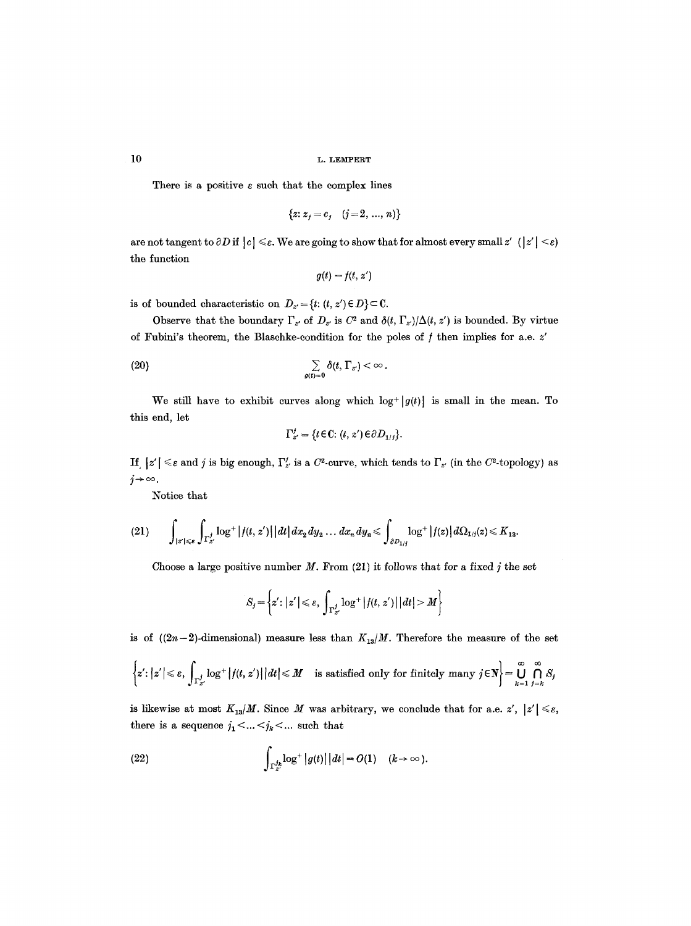There is a positive  $\varepsilon$  such that the complex lines

$$
\{z: z_j = c_j \quad (j = 2, \ldots, n)\}
$$

are not tangent to  $\partial D$  if  $|c| \leq \varepsilon$ . We are going to show that for almost every small z'  $(|z'| \leq \varepsilon)$ the function

$$
g(t) = f(t, z')
$$

is of bounded characteristic on  $D_{z'} = \{t: (t, z') \in D\} \subset \mathbb{C}$ .

Observe that the boundary  $\Gamma_{z'}$  of  $D_{z'}$  is  $C^2$  and  $\delta(t, \Gamma_{z'})/\Delta(t, z')$  is bounded. By virtue of Fubini's theorem, the Blaschke-condition for the poles of  $f$  then implies for a.e.  $z'$ 

(20) 
$$
\sum_{g(t)=0} \delta(t, \Gamma_{z}) < \infty.
$$

We still have to exhibit curves along which  $\log^+ |g(t)|$  is small in the mean. To this end, let

$$
\Gamma_{z'}^j = \{t \in \mathbb{C}: (t, z') \in \partial D_{1/j}\}.
$$

If  $|z'| \leq \varepsilon$  and j is big enough,  $\Gamma'_{z'}$  is a  $C^2$ -curve, which tends to  $\Gamma_{z'}$  (in the  $C^2$ -topology) as  $j \rightarrow \infty$ .

Notice that

$$
(21) \qquad \int_{|z'| \leqslant \varepsilon} \int_{\Gamma^{j}_{z'}} \log^{+} |f(t, z')| \, |dt| \, dx_{2} \, dy_{2} \ldots \, dx_{n} \, dy_{n} \leqslant \int_{\partial D_{1/j}} \log^{+} |f(z)| \, d\Omega_{1/j}(z) \leqslant K_{13}.
$$

Choose a large positive number  $M$ . From (21) it follows that for a fixed j the set

$$
S_j = \left\{ z' : |z'| \leq \varepsilon, \int_{\Gamma_{z'}^j} \log^+ |f(t, z')| \, |dt| > M \right\}
$$

is of  $((2n-2)$ -dimensional) measure less than  $K_{13}/M$ . Therefore the measure of the set

$$
\left\{z':|z'|\leqslant \varepsilon,\,\int_{\Gamma^{j}_{z'}}\log^{+}|f(t,\,z')|\,|\,dt\big|\leqslant M\quad\text{ is satisfied only for finitely many }j\in\mathbb{N}\right\}=\bigcup_{k=1}^{\infty}\bigcap_{j=k}^{\infty}S_{j}
$$

is likewise at most  $K_{13}/M$ . Since M was arbitrary, we conclude that for a.e. z',  $|z'| \leq \varepsilon$ , there is a sequence  $j_1<... such that$ 

(22) 
$$
\int_{\Gamma_Z^{j_k}} \log^+|g(t)| |dt| = O(1) \quad (k \to \infty).
$$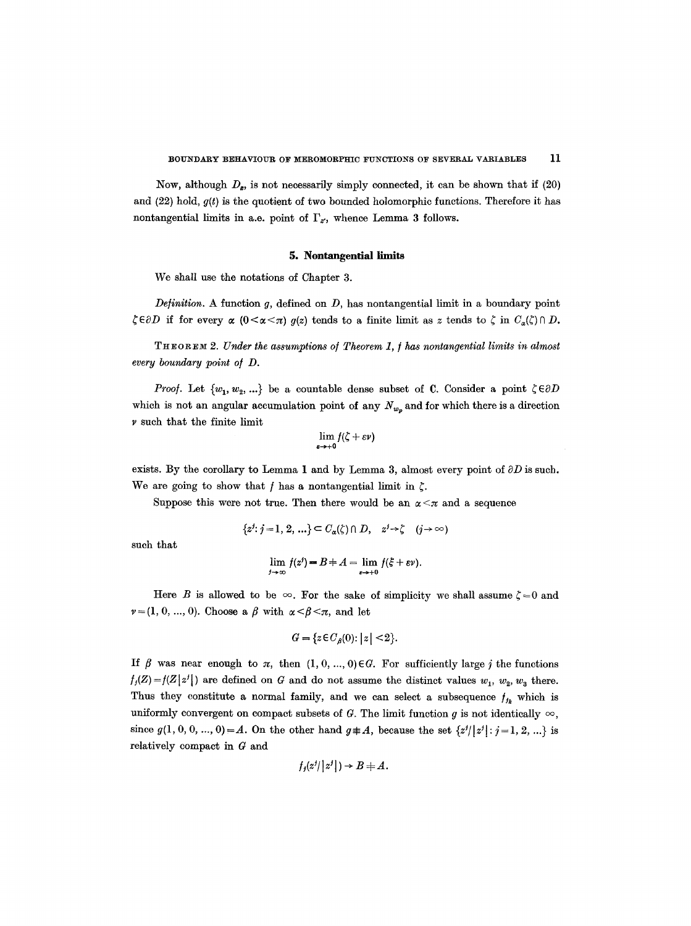Now, although  $D_z$ , is not necessarily simply connected, it can be shown that if (20) and (22) hold, *g(t)* is the quotient of two bounded holomorphie functions. Therefore it has nontangential limits in a.e. point of  $\Gamma_z$ , whence Lemma 3 follows.

## **5. Nontangential limits**

We shall use the notations of Chapter 3.

*Definition.* A function g, defined on *D,* has nontangential limit in a boundary point  $\zeta \in \partial D$  if for every  $\alpha$  ( $0 \leq \alpha \leq \pi$ )  $q(z)$  tends to a finite limit as z tends to  $\zeta$  in  $C_{\alpha}(\zeta) \cap D$ .

THEORXM *2. Under the assumptions o/Theorem 1, ] has nontangential limits in almost every boundary point of D.* 

*Proof.* Let  $\{w_1, w_2, ...\}$  be a countable dense subset of C. Consider a point  $\zeta \in \partial D$ which is not an angular accumulation point of any  $N_{w_n}$  and for which there is a direction  $\nu$  such that the finite limit

$$
\lim_{\varepsilon\to+0}f(\zeta+\varepsilon\nu)
$$

exists. By the corollary to Lemma 1 and by Lemma 3, almost every point of  $\partial D$  is such. We are going to show that f has a nontangential limit in  $\zeta$ .

Suppose this were not true. Then there would be an  $\alpha < \pi$  and a sequence

$$
\{z^j : j = 1, 2, \ldots\} \subset C_{\alpha}(\zeta) \cap D, \quad z^j \to \zeta \quad (j \to \infty)
$$

such that

$$
\lim_{j\to\infty} f(z^j) = B \pm A = \lim_{\varepsilon\to+0} f(\xi + \varepsilon \nu).
$$

Here B is allowed to be  $\infty$ . For the sake of simplicity we shall assume  $\zeta = 0$  and  $v=(1, 0, ..., 0)$ . Choose a  $\beta$  with  $\alpha < \beta < \pi$ , and let

$$
G = \{ z \in C_{\beta}(0) : |z| < 2 \}.
$$

If  $\beta$  was near enough to  $\pi$ , then  $(1, 0, ..., 0) \in G$ . For sufficiently large j the functions  $f_j(Z) = f(Z|z^j|)$  are defined on G and do not assume the distinct values  $w_1, w_2, w_3$  there. Thus they constitute a normal family, and we can select a subsequence  $f_{jk}$  which is uniformly convergent on compact subsets of G. The limit function g is not identically  $\infty$ , since  $g(1, 0, 0, ..., 0) = A$ . On the other hand  $g \neq A$ , because the set  $\{z^{j}/|z^{j}|: j=1, 2, ...\}$  is relatively compact in G and

$$
f_j(z^j \mid z^j \mid) \to B \neq A.
$$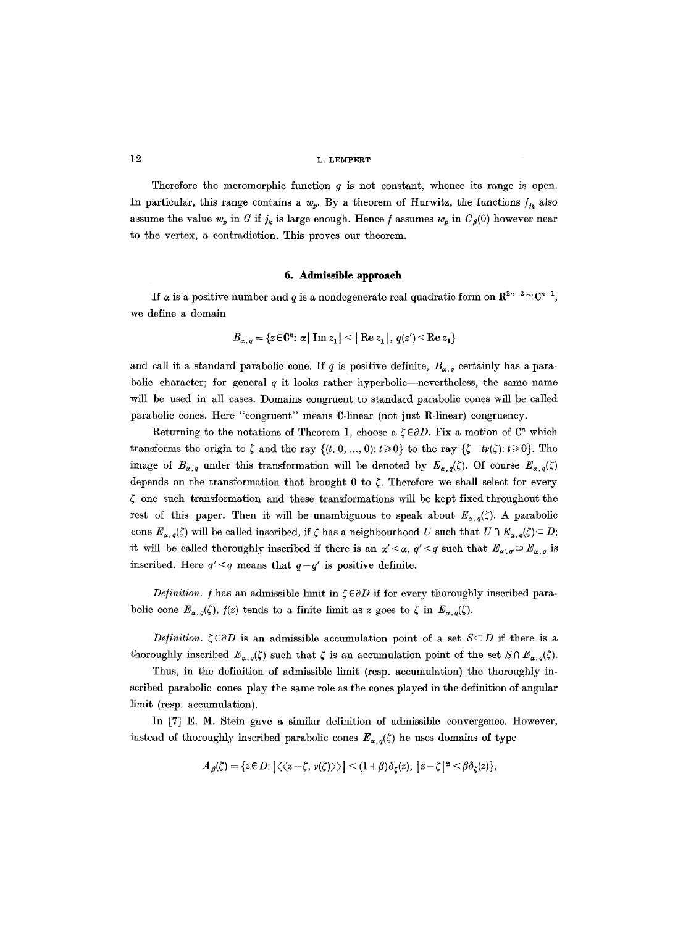Therefore the meromorphic function  $g$  is not constant, whence its range is open. In particular, this range contains a  $w_p$ . By a theorem of Hurwitz, the functions  $f_{jk}$  also assume the value  $w_p$  in G if  $j_k$  is large enough. Hence f assumes  $w_p$  in  $C_g(0)$  however near to the vertex, a contradiction. This proves our theorem.

## **6. Admissible approach**

If  $\alpha$  is a positive number and q is a nondegenerate real quadratic form on  $\mathbb{R}^{2n-2} \cong \mathbb{C}^{n-1}$ . we define a domain

$$
B_{\alpha,q} = \{ z \in \mathbb{C}^n : \alpha \mid \text{Im } z_1 \mid \leq \mid \text{Re } z_1 \mid, \ q(z') \leq \text{Re } z_1 \}
$$

and call it a standard parabolic cone. If q is positive definite,  $B_{\alpha,q}$  certainly has a parabolic character; for general  $q$  it looks rather hyperbolic---nevertheless, the same name will be used in all cases. Domains congruent to standard parabolic cones will be called parabolic cones. Here "congruent" means  $C$ -linear (not just  $R$ -linear) congruency.

Returning to the notations of Theorem 1, choose a  $\zeta \in \partial D$ . Fix a motion of  $\mathbb{C}^n$  which transforms the origin to  $\zeta$  and the ray  $\{(t, 0, ..., 0): t \geq 0\}$  to the ray  $\{\zeta - tv(\zeta): t \geq 0\}$ . The image of  $B_{\alpha,q}$  under this transformation will be denoted by  $E_{\alpha,q}(\zeta)$ . Of course  $E_{\alpha,q}(\zeta)$ depends on the transformation that brought 0 to  $\zeta$ . Therefore we shall select for every  $\zeta$  one such transformation and these transformations will be kept fixed throughout the rest of this paper. Then it will be unambiguous to speak about  $E_{\alpha,q}(\zeta)$ . A parabolic cone  $E_{\alpha,q}(\zeta)$  will be called inscribed, if  $\zeta$  has a neighbourhood U such that  $U \cap E_{\alpha,q}(\zeta) \subset D;$ it will be called thoroughly inscribed if there is an  $\alpha' < \alpha$ ,  $q' < q$  such that  $E_{\alpha',q} \supset E_{\alpha,q}$  is inscribed. Here  $q' < q$  means that  $q - q'$  is positive definite.

*Definition. f* has an admissible limit in  $\zeta \in \partial D$  if for every thoroughly inscribed parabolic cone  $E_{\alpha,q}(\zeta)$ ,  $f(z)$  tends to a finite limit as z goes to  $\zeta$  in  $E_{\alpha,q}(\zeta)$ .

*Definition.*  $\zeta \in \partial D$  is an admissible accumulation point of a set  $S \subset D$  if there is a thoroughly inscribed  $E_{\alpha,q}(\zeta)$  such that  $\zeta$  is an accumulation point of the set  $S \cap E_{\alpha,q}(\zeta)$ .

Thus, in the definition of admissible limit (resp. accumulation) the thoroughly inscribed parabolic cones play the same role as the cones played in the definition of angular limit (resp. accumulation).

In [7] E. M. Stein gave a similar definition of admissible convergence. However, instead of thoroughly inscribed parabolic cones  $E_{\alpha,q}(\zeta)$  he uses domains of type

$$
A_{\beta}(\zeta) = \{z \in D : |\langle \langle z - \zeta, \nu(\zeta) \rangle \rangle| \le (1+\beta)\delta_{\zeta}(z), |z - \zeta|^2 \le \beta \delta_{\zeta}(z)\},\
$$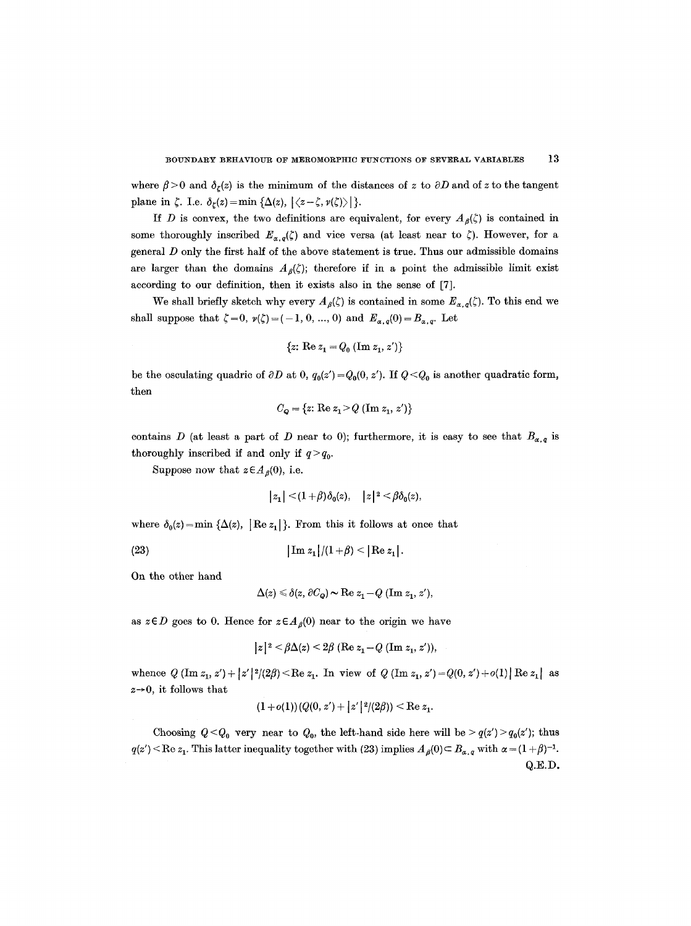where  $\beta > 0$  and  $\delta_{\ell}(z)$  is the minimum of the distances of z to  $\partial D$  and of z to the tangent plane in  $\zeta$ . I.e.  $\delta_{\zeta}(z) = \min \{\Delta(z), |\langle z-\zeta, \nu(\zeta)\rangle|\}.$ 

If D is convex, the two definitions are equivalent, for every  $A_{\beta}(\zeta)$  is contained in some thoroughly inscribed  $E_{\alpha,q}(\zeta)$  and vice versa (at least near to  $\zeta$ ). However, for a general D only the first half of the above statement is true. Thus our admissible domains are larger than the domains  $A_{\beta}(\zeta)$ ; therefore if in a point the admissible limit exist according to our definition, then it exists also in the sense of [7].

We shall briefly sketch why every  $A_{\beta}(\zeta)$  is contained in some  $E_{\alpha,\beta}(\zeta)$ . To this end we shall suppose that  $\zeta = 0$ ,  $v(\zeta) = (-1, 0, ..., 0)$  and  $E_{\alpha, q}(0) = B_{\alpha, q}$ . Let

$$
\{z\colon \text{Re } z_1 = Q_0 \text{ (Im } z_1, z')\}
$$

be the osculating quadric of  $\partial D$  at 0,  $q_0(z') = Q_0(0, z')$ . If  $Q < Q_0$  is another quadratic form, then

$$
C_Q = \{z: \text{Re } z_1 > Q \text{ (Im } z_1, z')\}
$$

contains D (at least a part of D near to 0); furthermore, it is easy to see that  $B_{\alpha,q}$  is thoroughly inscribed if and only if  $q > q_0$ .

Suppose now that  $z \in A_{\beta}(0)$ , i.e.

$$
|z_1|<(1+\beta)\delta_0(z),\quad |z|^2<\beta\delta_0(z),
$$

where  $\delta_0(z) = \min \{\Delta(z), |\text{Re } z_1|\}.$  From this it follows at once that

(23)  $\left|\text{Im } z_1\right|/(1+\beta) < \left|\text{Re } z_1\right|$ .

On the other hand

$$
\Delta(z) \leq \delta(z, \partial C_{\mathbf{Q}}) \sim \text{Re } z_1 - Q \text{ (Im } z_1, z'),
$$

as  $z \in D$  goes to 0. Hence for  $z \in A_{\beta}(0)$  near to the origin we have

$$
|z|^2 < \beta \Delta(z) < 2\beta \ (\text{Re } z_1 - Q \ (\text{Im } z_1, z')),
$$

whence  $Q(\text{Im } z_1, z') + |z'|^2/(2\beta) \le \text{Re } z_1$ . In view of  $Q(\text{Im } z_1, z') = Q(0, z') + o(1) |\text{Re } z_1|$  as *z~O,* it follows that

$$
(1+o(1))(Q(0, z') + |z'|^2/(2\beta)) < \text{Re } z_1.
$$

Choosing  $Q < Q_0$  very near to  $Q_0$ , the left-hand side here will be  $> q(z') > q_0(z')$ ; thus  $q(z') < \text{Re } z_1$ . This latter inequality together with (23) implies  $A_{\beta}(0) \subset B_{\alpha,q}$  with  $\alpha = (1 + \beta)^{-1}$ . Q.E.D.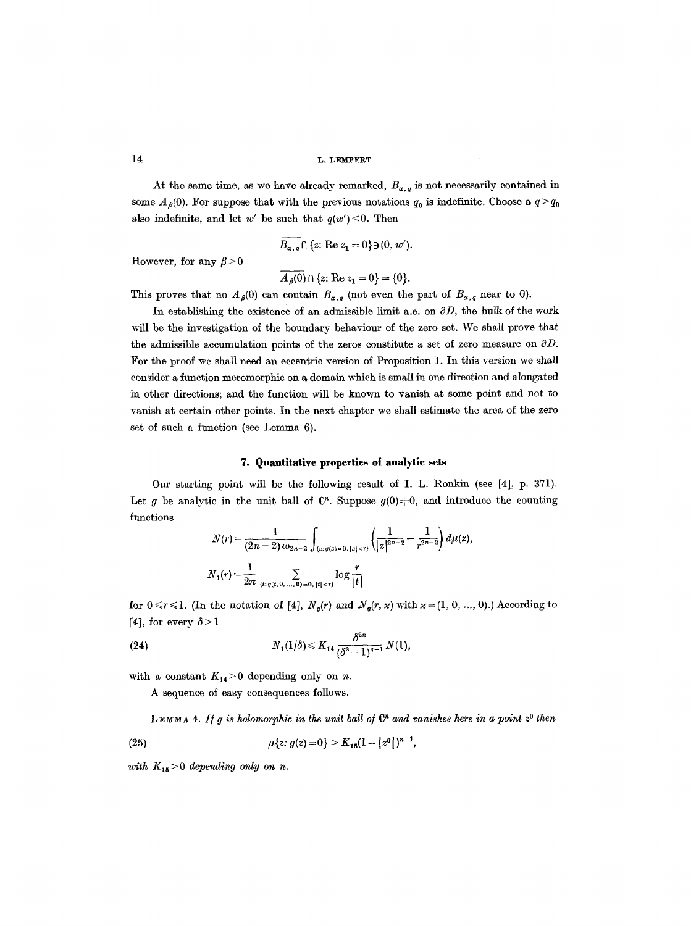At the same time, as we have already remarked,  $B_{\alpha,q}$  is not necessarily contained in some  $A_{\beta}(0)$ . For suppose that with the previous notations  $q_0$  is indefinite. Choose a  $q > q_0$ also indefinite, and let w' be such that  $q(w') < 0$ . Then

$$
\overline{B_{\alpha,q}} \cap \{z: \text{Re } z_1 = 0\} \exists (0, w').
$$

However, for any  $\beta > 0$ 

$$
\overline{A_{\beta}(0)} \cap \{z: \text{Re } z_1 = 0\} = \{0\}.
$$

This proves that no  $A_{\beta}(0)$  can contain  $B_{\alpha,q}$  (not even the part of  $B_{\alpha,q}$  near to 0).

In establishing the existence of an admissible limit a.e. on  $\partial D$ , the bulk of the work will be the investigation of the boundary behaviour of the zero set. We shall prove that the admissible accumulation points of the zeros constitute a set of zero measure on  $\partial D$ . For the proof we shall need an eccentric version of Proposition 1. In this version we shall consider a function meromorphic on a domain which is small in one direction and alongated in other directions; and the function will be known to vanish at some point and not to vanish at certain other points. In the next chapter we shall estimate the area of the zero set of such a function (see Lemma 6).

#### **7. Quantitative properties ot analytic sets**

Our starting point will be the following result of I. L. Ronkin (see [4], p. 371). Let g be analytic in the unit ball of  $\mathbb{C}^n$ . Suppose  $g(0) \neq 0$ , and introduce the counting functions

$$
N(r) = \frac{1}{(2n-2)\omega_{2n-2}} \int_{\{z:\,g(z)=0,\,|z|  

$$
N_1(r) = \frac{1}{2\pi} \sum_{\{t:\,g(t,0,\ldots,0)=0,\,|t|
$$
$$

for  $0 \le r \le 1$ . (In the notation of [4],  $N_g(r)$  and  $N_g(r, \varkappa)$  with  $\varkappa = (1, 0, ..., 0)$ .) According to [4], for every  $\delta > 1$ 

(24) 
$$
N_1(1/\delta) \leq K_{14} \frac{\delta^{2n}}{(\delta^2-1)^{n-1}} N(1),
$$

with a constant  $K_{14}$  > 0 depending only on n.

A sequence of easy consequences follows.

LEMMA 4. If g is holomorphic in the unit ball of  $\mathbb{C}^n$  and vanishes here in a point  $z^0$  then

(25) 
$$
\mu\{z: g(z) = 0\} > K_{15}(1 - |z^0|)^{n-1},
$$

*with*  $K_{15} > 0$  *depending only on n.*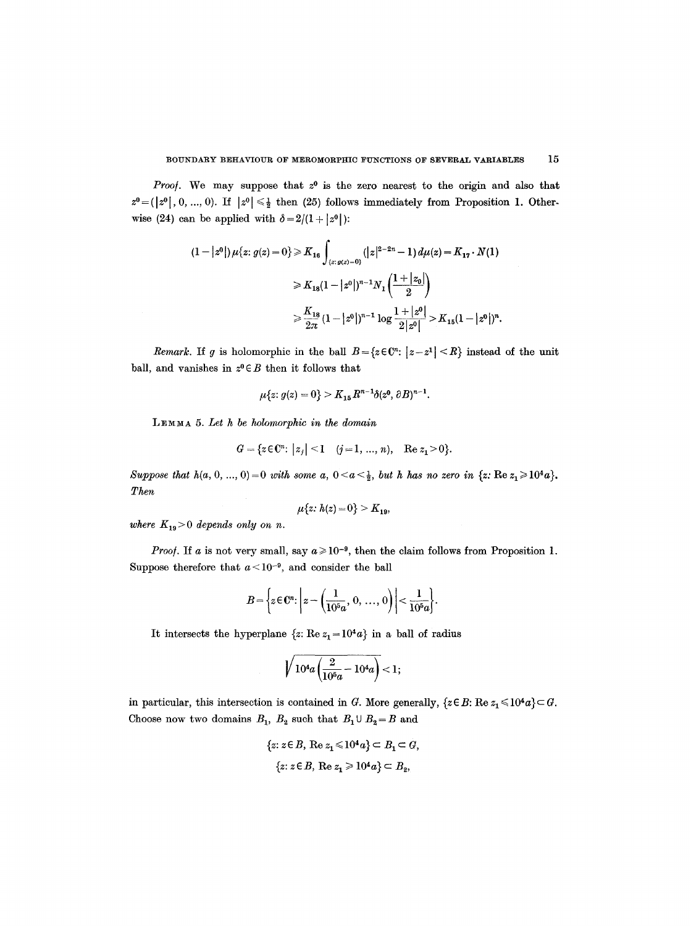*Proof.* We may suppose that  $z^0$  is the zero nearest to the origin and also that  $z^0 = (|z^0|, 0, ..., 0)$ . If  $|z^0| \leq \frac{1}{2}$  then (25) follows immediately from Proposition 1. Otherwise (24) can be applied with  $\delta = 2/(1 + |z^0|)$ :

$$
(1-|z^{0}|)\mu\{z: g(z)=0\} \geq K_{16} \int_{(z: g(z)=0)} (|z|^{2-2n}-1) d\mu(z) = K_{17} \cdot N(1)
$$
  

$$
\geq K_{18}(1-|z^{0}|)^{n-1} N_{1} \left(\frac{1+|z_{0}|}{2}\right)
$$
  

$$
\geq \frac{K_{18}}{2\pi} (1-|z^{0}|)^{n-1} \log \frac{1+|z^{0}|}{2|z^{0}|} > K_{15}(1-|z^{0}|)^{n}.
$$

*Remark.* If g is holomorphic in the ball  $B = \{z \in \mathbb{C}^n : |z - z^1| < R\}$  instead of the unit ball, and vanishes in  $z^0 \in B$  then it follows that

$$
\mu\{z: g(z) = 0\} > K_{15} R^{n-1} \delta(z^0, \partial B)^{n-1}.
$$

LEMMA 5. Let h be holomorphic in the domain

$$
G = \{ z \in \mathbb{C}^n : |z_j| \le 1 \quad (j = 1, ..., n), \quad \text{Re } z_1 > 0 \}.
$$

*Suppose that h(a, 0, ..., 0)* = 0 *with some a,*  $0 < a < \frac{1}{2}$ *, but h has no zero in {z: Re z<sub>1</sub> ≥ 10<sup>4</sup>a}. Then* 

$$
\mu\{z\colon h(z)=0\}>K_{19},
$$

*where*  $K_{19} > 0$  depends only on n.

*Proof.* If a is not very small, say  $a \ge 10^{-9}$ , then the claim follows from Proposition 1. Suppose therefore that  $a < 10^{-9}$ , and consider the ball

$$
B=\left\{z\in\mathbb{C}^n:\left|z-\left(\frac{1}{10^5a},\ 0,\ \ldots,\ 0\right)\right|<\frac{1}{10^5a}\right\}.
$$

It intersects the hyperplane  $\{z: \text{Re } z_1 = 10^4 a\}$  in a ball of radius

$$
\sqrt{10^4 a \left(\frac{2}{10^5 a} - 10^4 a\right)} < 1;
$$

in particular, this intersection is contained in G. More generally,  $\{z \in B: \text{Re } z_1 \leq 10^4 a\} \subset G$ . Choose now two domains  $B_1$ ,  $B_2$  such that  $B_1 \cup B_2 = B$  and

$$
\{z: z \in B, \text{ Re } z_1 \le 10^4 a\} \subset B_1 \subset G,
$$
  

$$
\{z: z \in B, \text{ Re } z_1 \ge 10^4 a\} \subset B_2,
$$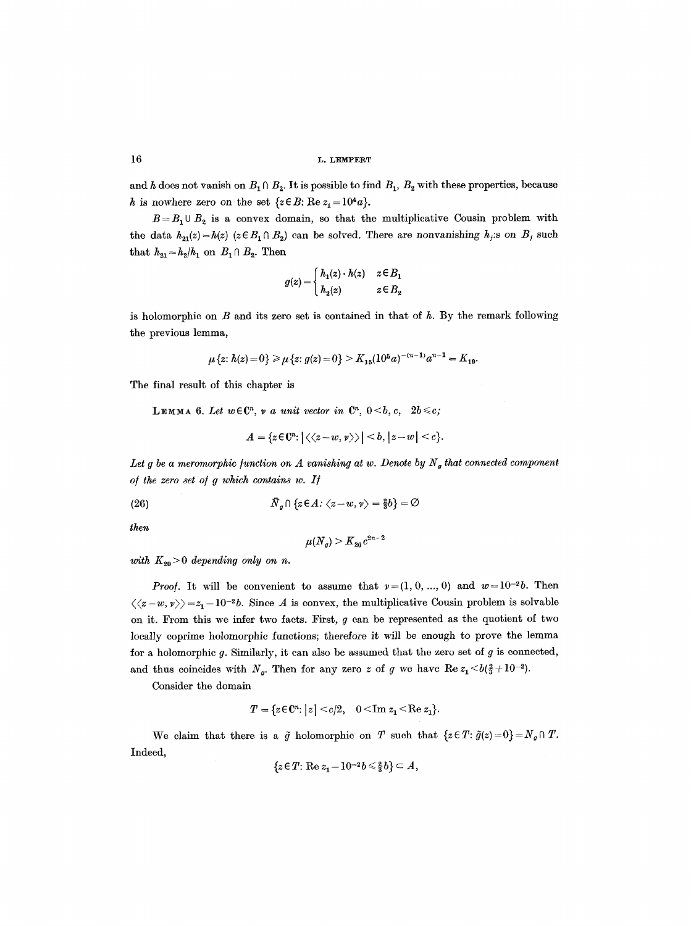and h does not vanish on  $B_1 \cap B_2$ . It is possible to find  $B_1$ ,  $B_2$  with these properties, because h is nowhere zero on the set  $\{z \in B: \text{Re } z_1 = 10^4 a\}.$ 

 $B = B_1 \cup B_2$  is a convex domain, so that the multiplicative Cousin problem with the data  $h_{21}(z) = h(z)$  ( $z \in B_1 \cap B_2$ ) can be solved. There are nonvanishing  $h_j$ :s on  $B_j$  such that  $h_{21} = h_2/h_1$  on  $B_1 \cap B_2$ . Then

$$
g(z) = \begin{cases} h_1(z) \cdot h(z) & z \in B_1 \\ h_2(z) & z \in B_2 \end{cases}
$$

is holomorphic on  $B$  and its zero set is contained in that of  $h$ . By the remark following the previous lemma,

$$
\mu\{z\colon h(z)=0\}\geqslant\mu\{z\colon g(z)=0\}>K_{15}(10^5a)^{-(n-1)}a^{n-1}=K_{19}.
$$

The final result of this chapter is

**LEMMA 6.** Let  $w \in \mathbb{C}^n$ ,  $\nu$  a unit vector in  $\mathbb{C}^n$ ,  $0 \leq b, c, 2b \leq c$ ;

$$
A=\{z\!\in\!\mathbb{C}^n\!\!:\big|\langle\langle z\!-\!w,\nu\rangle\rangle\big|\leq b,\big|z\!-\!w\big|\leq c\}.
$$

Let g be a meromorphic function on A vanishing at w. Denote by  $N_g$  that connected component *o/the zero set o/ g which contains w. I/* 

(26) 
$$
\overline{N}_g \cap \{z \in A : \langle z - w, v \rangle = \frac{2}{3}b\} = \emptyset
$$

*then* 

$$
\mu({N}_{{\mathfrak{a}}})\geq {K}_{{\mathfrak{z}}{\mathfrak{a}}}c^{2n-2}
$$

*with*  $K_{20} > 0$  depending only on *n*.

*Proof.* It will be convenient to assume that  $\nu = (1, 0, ..., 0)$  and  $w = 10^{-2}b$ . Then  $\langle\langle z-w, \nu\rangle\rangle = z_1 - 10^{-2}b$ . Since A is convex, the multiplicative Cousin problem is solvable on it. From this we infer two facts. First,  $g$  can be represented as the quotient of two locally coprime holomorphic functions; therefore it will be enough to prove the lemma for a holomorphic  $g$ . Similarly, it can also be assumed that the zero set of  $g$  is connected, and thus coincides with  $N_g$ . Then for any zero z of g we have  $\text{Re } z_1 \leq b(\frac{2}{3}+10^{-2}).$ 

Consider the domain

$$
T = \{ z \in \mathbb{C}^n : |z| < c/2, \quad 0 < \text{Im } z_1 < \text{Re } z_1 \}.
$$

We claim that there is a  $\tilde{g}$  holomorphic on T such that  $\{z \in T: \tilde{g}(z)=0\} = N_g \cap T$ . Indeed,

$$
\{z \in T: \text{Re } z_1 - 10^{-2}b \leq \frac{2}{3}b\} \subset A,
$$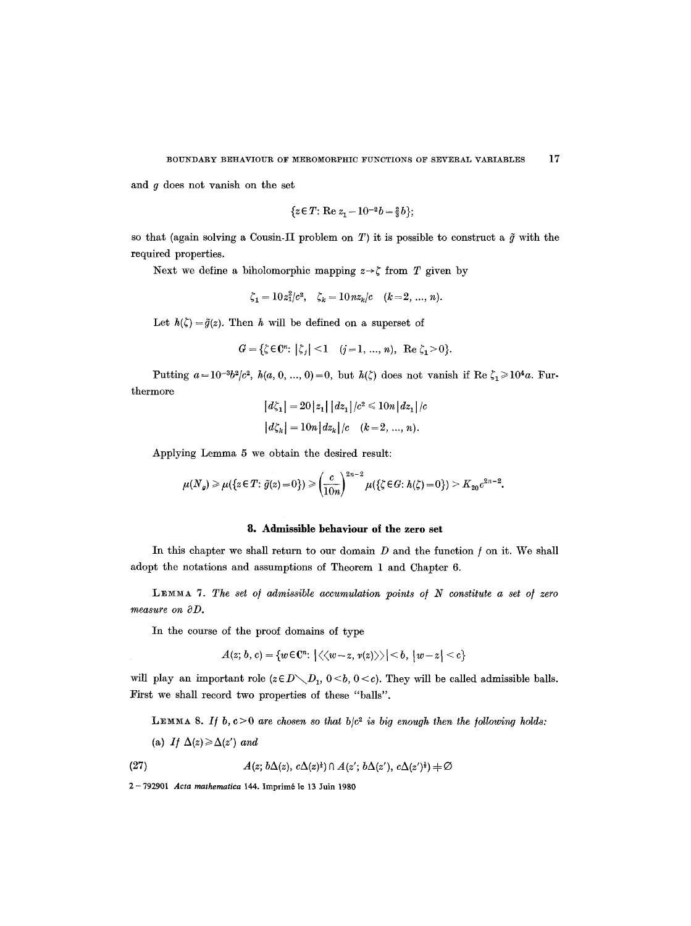and g does not vanish on the set

$$
\{z \in T: \text{Re } z_1 - 10^{-2}b = \frac{2}{3}b\};
$$

so that (again solving a Cousin-II problem on T) it is possible to construct a  $\tilde{g}$  with the required properties.

Next we define a biholomorphic mapping  $z \rightarrow \zeta$  from T given by

$$
\zeta_1 = 10z_1^2/c^2
$$
,  $\zeta_k = 10nz_k/c$   $(k=2, ..., n)$ .

Let  $h(\zeta) = \tilde{g}(z)$ . Then h will be defined on a superset of

$$
G = \{ \zeta \in \mathbb{C}^n : |\zeta_j| < 1 \quad (j = 1, \ldots, n), \text{ Re } \zeta_1 > 0 \}.
$$

Putting  $a=10^{-3}b^2/c^2$ ,  $h(a, 0, ..., 0)=0$ , but  $h(\zeta)$  does not vanish if Re  $\zeta_1 \geq 10^4a$ . Furthermore

$$
|d\zeta_1| = 20|z_1| |dz_1|/c^2 \le 10n |dz_1|/c
$$
  

$$
|d\zeta_k| = 10n |dz_k|/c \quad (k = 2, ..., n).
$$

Applying Lemma 5 we obtain the desired result:

$$
\mu(N_g) \geqslant \mu(\{z \in T: \tilde{g}(z) = 0\}) \geqslant \left(\frac{c}{10n}\right)^{2n-2} \mu(\{\zeta \in G: h(\zeta) = 0\}) \geqslant K_{20}c^{2n-2}.
$$

## **8. Admissible behaviour oI the zero set**

In this chapter we shall return to our domain  $D$  and the function  $f$  on it. We shall adopt the notations and assumptions of Theorem 1 and Chapter 6.

LEMMA 7. The set of admissible accumulation points of N constitute a set of zero *measure on*  $\partial D$ *.* 

In the course of the proof domains of type

$$
A(z; b, c) = \{w \in \mathbb{C}^n : |\langle \langle w-z, v(z) \rangle \rangle| \le b, |w-z| \le c\}
$$

will play an important role  $(z \in D \setminus D_1, 0 \le b, 0 \le c)$ . They will be called admissible balls. First we shall record two properties of these "balls".

LEMMA 8. If  $b, c>0$  are chosen so that  $b/c^2$  is big enough then the following holds:

(a) If  $\Delta(z) \ge \Delta(z')$  and

(27) 
$$
A(z; b\Delta(z), c\Delta(z)^{*}) \cap A(z'; b\Delta(z'), c\Delta(z')^{*}) + \varnothing
$$

2- 792901 *Acta mathematica* 144. Imprim618 13 Juin 1980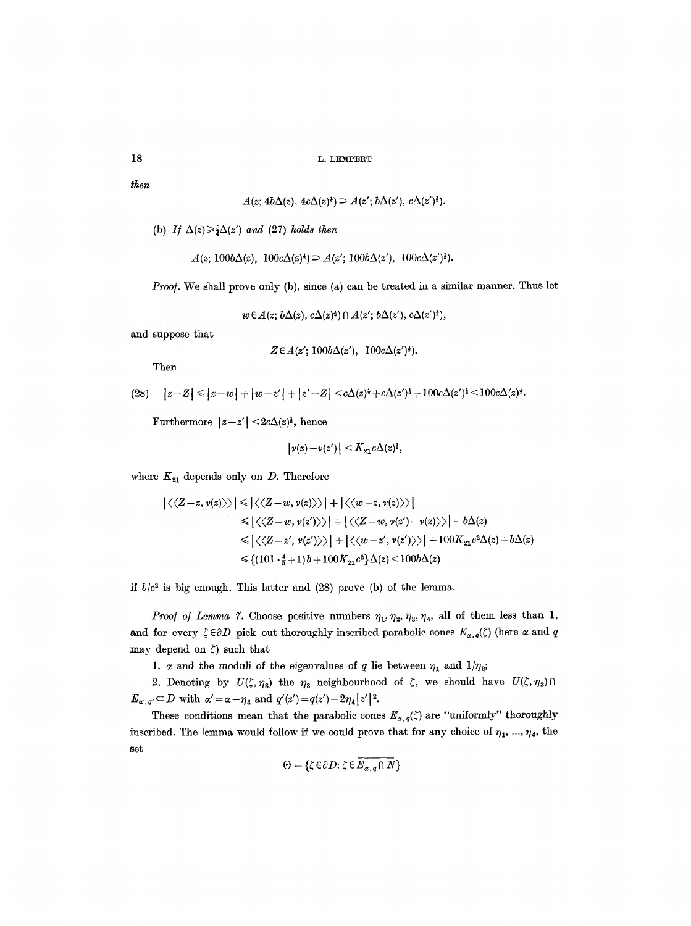```
18 L. LEMPERT
```
*the~* 

$$
A(z; 4b\Delta(z), 4c\Delta(z)^{\dagger}) \supset A(z'; b\Delta(z'), c\Delta(z')^{\dagger}).
$$

(b) *If*  $\Delta(z) \geq \frac{5}{4} \Delta(z')$  *and* (27) *holds then* 

 $A(z; 100b\Delta(z), 100c\Delta(z)^{\frac{1}{2}}) \supseteq A(z'; 100b\Delta(z'), 100c\Delta(z')^{\frac{1}{2}}).$ 

*Proof.* We shall prove only (b), since (a) can be treated in a similar manner. Thus let

 $w \in A(z; b\Delta(z), c\Delta(z)^*) \cap A(z'; b\Delta(z'), c\Delta(z')^*)$ ,

and suppose that

$$
Z\!\in\!A(z';\,100b\Delta(z'),\ 100c\Delta(z')^{\frac{1}{2}}).
$$

Then

$$
(28) \quad |z-Z| \leq |z-w| + |w-z'| + |z'-Z| < c\Delta(z)^{\frac{1}{2}} + c\Delta(z')^{\frac{1}{2}} + 100c\Delta(z')^{\frac{1}{2}} < 100c\Delta(z)^{\frac{1}{2}}.
$$

Furthermore  $|z-z'| < 2c\Delta(z)^{3}$ , hence

$$
|\nu(z)-\nu(z')| < K_{21} c \Delta(z)^{\frac{1}{2}},
$$

where  $K_{21}$  depends only on D. Therefore

$$
\left| \langle \langle Z-z, \nu(z) \rangle \rangle \right| \leq \left| \langle \langle Z-w, \nu(z) \rangle \rangle \right| + \left| \langle \langle w-z, \nu(z) \rangle \rangle \right|
$$
  
\n
$$
\leq \left| \langle \langle Z-w, \nu(z') \rangle \rangle \right| + \left| \langle \langle Z-w, \nu(z') - \nu(z) \rangle \rangle \right| + b\Delta(z)
$$
  
\n
$$
\leq \left| \langle \langle Z-z', \nu(z') \rangle \rangle \right| + \left| \langle \langle w-z', \nu(z') \rangle \rangle \right| + 100 K_{21} c^2 \Delta(z) + b\Delta(z)
$$
  
\n
$$
\leq \{(101 \cdot \frac{4}{5} + 1)b + 100 K_{21} c^2 \Delta(z) \leq 100 b\Delta(z)
$$

if  $b/c^2$  is big enough. This latter and  $(28)$  prove (b) of the lemma.

*Proof of Lemma 7.* Choose positive numbers  $\eta_1$ ,  $\eta_2$ ,  $\eta_3$ ,  $\eta_4$ , all of them less than 1, and for every  $\zeta \in \partial D$  pick out thoroughly inscribed parabolic cones  $E_{\alpha,q}(\zeta)$  (here  $\alpha$  and  $q$ may depend on  $\zeta$ ) such that

1.  $\alpha$  and the moduli of the eigenvalues of q lie between  $\eta_1$  and  $1/\eta_2$ ;

2. Denoting by  $U(\zeta, \eta_3)$  the  $\eta_3$  neighbourhood of  $\zeta$ , we should have  $U(\zeta, \eta_3) \cap$  $E_{\alpha',q'} \subset D$  with  $\alpha' = \alpha - \eta_4$  and  $q'(z') = q(z') - 2\eta_4|z'|^2$ .

These conditions mean that the parabolic cones  $E_{\alpha,q}(\zeta)$  are "uniformly" thoroughly inscribed. The lemma would follow if we could prove that for any choice of  $\eta_1, ..., \eta_4$ , the set

$$
\Theta = \{ \zeta \in \partial D \colon \zeta \in \overline{E_{\alpha,q} \cap N} \}
$$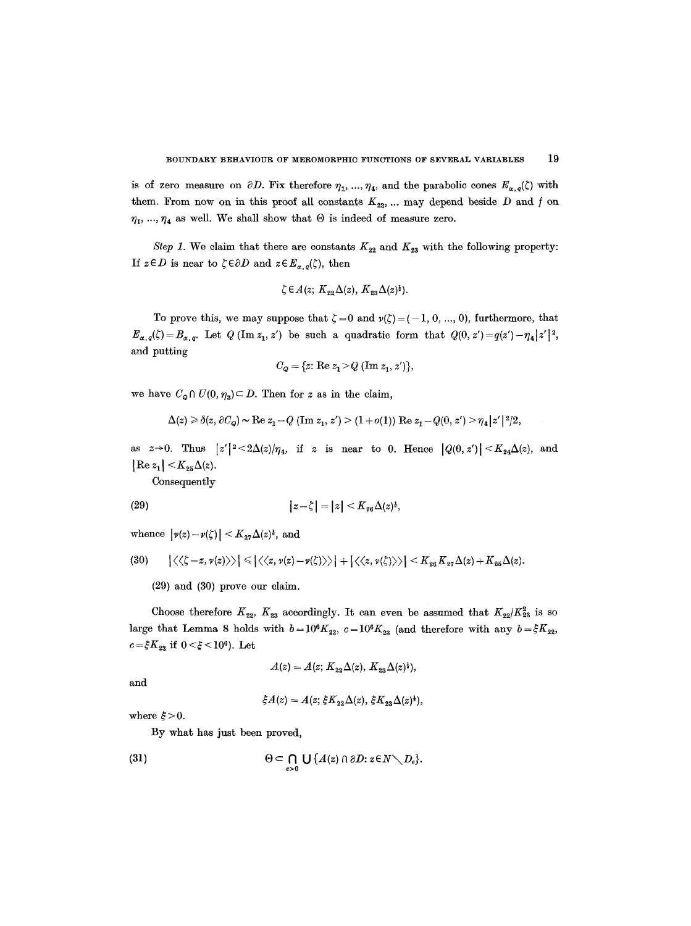is of zero measure on  $\partial D$ . Fix therefore  $\eta_1, ..., \eta_4$ , and the parabolic cones  $E_{\alpha,q}(\zeta)$  with them. From now on in this proof all constants  $K_{22}$ , ... may depend beside D and f on  $\eta_1, ..., \eta_4$  as well. We shall show that  $\Theta$  is indeed of measure zero.

*Step 1.* We claim that there are constants  $K_{22}$  and  $K_{23}$  with the following property: If  $z \in D$  is near to  $\zeta \in \partial D$  and  $z \in E_{\alpha,q}(\zeta)$ , then

$$
\zeta \in A(z; K_{22}\Delta(z), K_{23}\Delta(z)^{\frac{1}{2}}).
$$

To prove this, we may suppose that  $\zeta = 0$  and  $\nu(\zeta) = (-1, 0, ..., 0)$ , furthermore, that  $E_{\alpha,q}(\zeta)=B_{\alpha,q}$ . Let  $Q(\text{Im }z_1, z')$  be such a quadratic form that  $Q(0, z')=q(z')-|\eta_4|z'|^2$ , and putting

$$
C_{\mathbf{Q}} = \{z \colon \text{Re } z_1 > Q \text{ (Im } z_1, z')\},\
$$

we have  $C_{\mathbf{Q}} \cap U(0, \eta_{3}) \subset D$ . Then for z as in the claim,

$$
\Delta(z) \geq \delta(z, \partial C_q) \sim \text{Re } z_1 - Q \text{ (Im } z_1, z') > (1 + o(1)) \text{ Re } z_1 - Q(0, z') > \eta_4 |z'|^2/2,
$$

as  $z \rightarrow 0$ . Thus  $|z'|^2 \leq 2\Delta(z)/\eta_4$ , if z is near to 0. Hence  $|Q(0, z')| \leq K_{24}\Delta(z)$ , and  $|{\rm Re}\, z_1| < K_{25}\Delta(z).$ 

Consequently

$$
|z-\zeta|=|z|
$$

whence  $|\nu(z)-\nu(\zeta)| \leq K_{27}\Delta(z)^{\frac{1}{2}},$  and

$$
(30) \qquad \left| \langle \langle \zeta - z, \nu(z) \rangle \rangle \right| \leq \left| \langle \langle z, \nu(z) - \nu(\zeta) \rangle \rangle \right| + \left| \langle \langle z, \nu(\zeta) \rangle \rangle \right| < K_{26} K_{27} \Delta(z) + K_{25} \Delta(z).
$$

(29) and (30) prove our claim.

Choose therefore  $K_{22}$ ,  $K_{23}$  accordingly. It can even be assumed that  $K_{22}/K_{23}^2$  is so large that Lemma 8 holds with  $b=10^6K_{22}$ ,  $c=10^6K_{23}$  (and therefore with any  $b=\xi K_{22}$ ,  $c=\xi K_{23}$  if  $0<\xi<10^6$ ). Let

$$
A(z) = A(z; K_{22}\Delta(z), K_{23}\Delta(z)^{2}),
$$

and

$$
\xi A(z) = A(z; \xi K_{22} \Delta(z), \xi K_{23} \Delta(z)^{2}),
$$

where  $\xi > 0$ .

By what has just been proved,

(31) 
$$
\Theta \subset \bigcap_{s>0} \bigcup \{A(z) \cap \partial D : z \in N \setminus D_s\}.
$$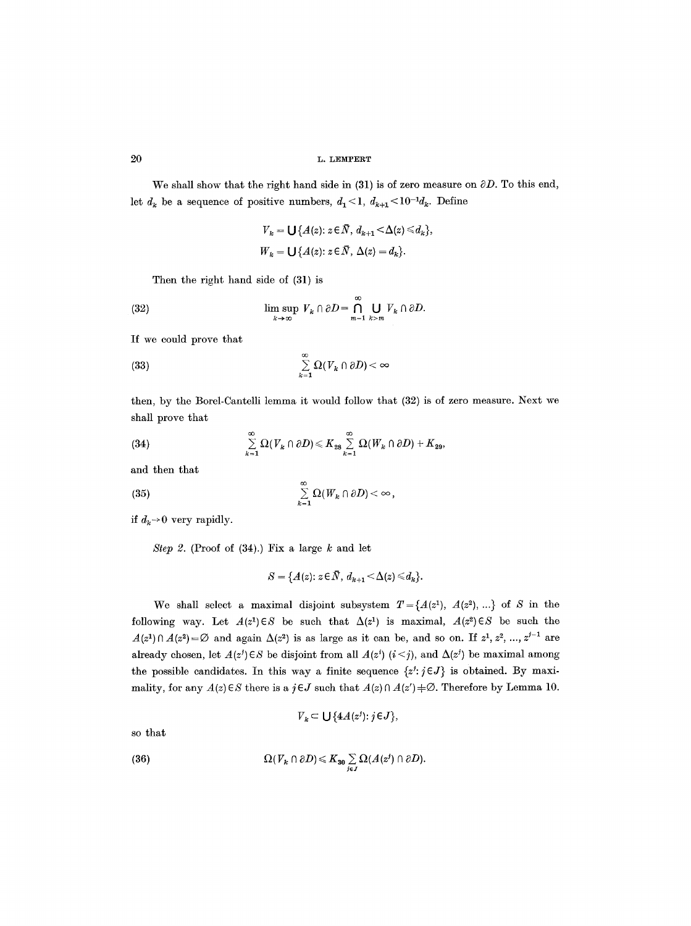We shall show that the right hand side in (31) is of zero measure on  $\partial D$ . To this end, let  $d_k$  be a sequence of positive numbers,  $d_1 < 1$ ,  $d_{k+1} < 10^{-1}d_k$ . Define

$$
V_k = \bigcup \{ A(z) : z \in \overline{N}, d_{k+1} < \Delta(z) \le d_k \},
$$
  

$$
W_k = \bigcup \{ A(z) : z \in \overline{N}, \Delta(z) = d_k \}.
$$

Then the right hand side of (31) is

(32) 
$$
\limsup_{k \to \infty} V_k \cap \partial D = \bigcap_{m=1}^{\infty} \bigcup_{k>m} V_k \cap \partial D.
$$

If we could prove that

(33) 
$$
\sum_{k=1}^{\infty} \Omega(V_k \cap \partial D) < \infty
$$

then, by the Borel-Cantelli lemma it would follow that (32) is of zero measure. Next we shall prove that

(34) 
$$
\sum_{k=1}^{\infty} \Omega(V_k \cap \partial D) \leq K_{28} \sum_{k=1}^{\infty} \Omega(W_k \cap \partial D) + K_{29},
$$

and then that

$$
(35) \qquad \qquad \sum_{k=1}^{\infty} \Omega(W_k \cap \partial D) < \infty,
$$

if  $d_k \rightarrow 0$  very rapidly.

*Step 2.* (Proof of  $(34)$ .) Fix a large  $k$  and let

$$
S = \{A(z): z \in \overline{N}, d_{k+1} < \Delta(z) \leq d_k\}.
$$

We shall select a maximal disjoint subsystem  $T = \{A(z^1), A(z^2), ...\}$  of S in the following way. Let  $A(z^1) \in S$  be such that  $\Delta(z^1)$  is maximal,  $A(z^2) \in S$  be such the  $A(z<sup>1</sup>) \cap A(z<sup>2</sup>) = \varnothing$  and again  $\Delta(z<sup>2</sup>)$  is as large as it can be, and so on. If  $z<sup>1</sup>$ ,  $z<sup>2</sup>$ , ...,  $z<sup>j-1</sup>$  are already chosen, let  $A(z^i) \in S$  be disjoint from all  $A(z^i)$  ( $i < j$ ), and  $\Delta(z^j)$  be maximal among the possible candidates. In this way a finite sequence  $\{z^j : j \in J\}$  is obtained. By maximality, for any  $A(z) \in S$  there is a  $j \in J$  such that  $A(z) \cap A(z') = \emptyset$ . Therefore by Lemma 10.

$$
V_k \subset \bigcup \{ 4A(z^j) : j \in J \},\
$$

so that

(36) 
$$
\Omega(V_k \cap \partial D) \leq K_{30} \sum_{j \in J} \Omega(A(z^j) \cap \partial D).
$$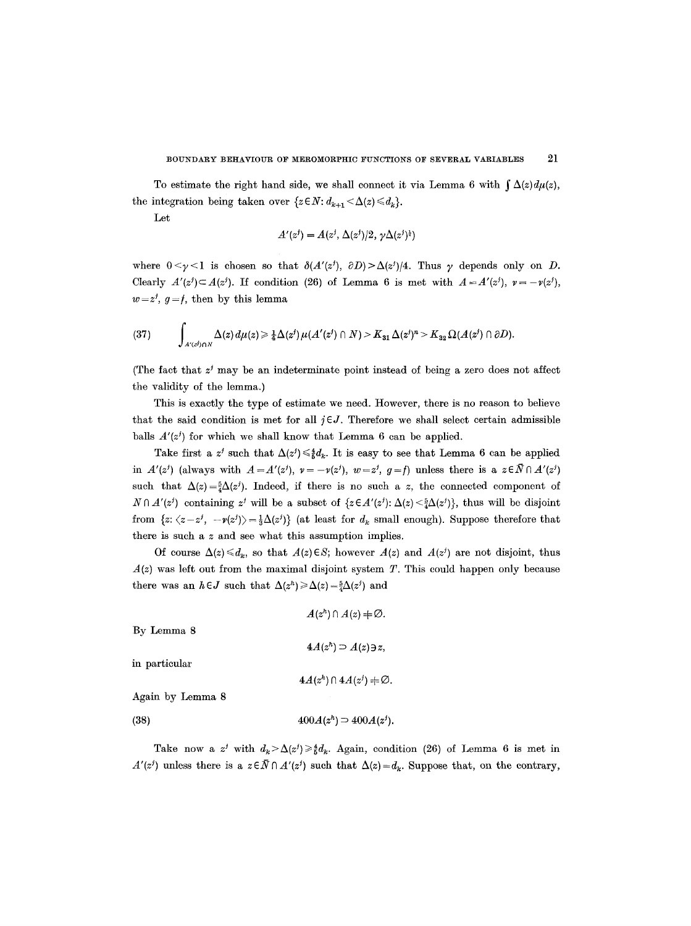To estimate the right hand side, we shall connect it via Lemma 6 with  $\int \Delta(z) d\mu(z)$ , the integration being taken over  $\{z \in N : d_{k+1} < \Delta(z) \leq d_k\}.$ 

Let

$$
A'(zj) = A(zj, \Delta(zj)/2, \gamma \Delta(zj)1)
$$

where  $0 \le \gamma \le 1$  is chosen so that  $\delta(A'(z'), \partial D) > \Delta(z')/4$ . Thus  $\gamma$  depends only on D. Clearly  $A'(z^j) \subset A(z^j)$ . If condition (26) of Lemma 6 is met with  $A = A'(z^j)$ ,  $v = -v(z^j)$ ,  $w=z^j, g=f$ , then by this lemma

$$
(37) \qquad \int_{A'(z^j)\cap N}\Delta(z)\,d\mu(z)\geq \tfrac{1}{4}\Delta(z^j)\,\mu(A'(z^j)\cap N)>K_{31}\,\Delta(z^j)^n>K_{32}\,\Omega(A(z^j)\cap\partial D).
$$

(The fact that  $z<sup>j</sup>$  may be an indeterminate point instead of being a zero does not affect the validity of the lemma.)

This is exactly the type of estimate we need. However, there is no reason to believe that the said condition is met for all  $j \in J$ . Therefore we shall select certain admissible balls  $A'(z^j)$  for which we shall know that Lemma 6 can be applied.

Take first a  $z^j$  such that  $\Delta(z^j) \leq \frac{1}{k}d_k$ . It is easy to see that Lemma 6 can be applied in  $A'(z^j)$  (always with  $A=A'(z^j), v=-v(z^j), w=z^j, g=f$ ) unless there is a  $z\in \bar{N}\cap A'(z^j)$ such that  $\Delta(z) = \frac{5}{4}\Delta(z^j)$ . Indeed, if there is no such a z, the connected component of  $N \cap A'(z')$  containing z<sup>*j*</sup> will be a subset of  $\{z \in A'(z') : \Delta(z) \leq \frac{5}{4} \Delta(z')\}$ , thus will be disjoint from  $\{z: \langle z-z^j, -\nu(z^j)\rangle = \frac{1}{3}\Delta(z^j)\}\$  (at least for  $d_k$  small enough). Suppose therefore that there is such a z and see what this assumption implies.

Of course  $\Delta(z) \le d_k$ , so that  $A(z) \in S$ ; however  $A(z)$  and  $A(z^j)$  are not disjoint, thus  $A(z)$  was left out from the maximal disjoint system T. This could happen only because there was an  $h \in J$  such that  $\Delta(z^h) \geq \Delta(z) = \frac{5}{4} \Delta(z^j)$  and

|                  | $A(z^n) \cap A(z) \neq \emptyset$ . |
|------------------|-------------------------------------|
| By Lemma 8       |                                     |
|                  | $4A(zh) \supseteq A(z) \ni z$ ,     |
| in particular    |                                     |
|                  | $4A(z^h) \cap 4A(z^j) + \emptyset.$ |
| Again by Lemma 8 |                                     |
| (38)             | $400A(z^h) \supset 400A(z^j)$ .     |

Take now a z<sup>j</sup> with  $d_k > \Delta(z^j) \geq \frac{4}{5}d_k$ . Again, condition (26) of Lemma 6 is met in  $A'(z')$  unless there is a  $z \in \overline{N} \cap A'(z')$  such that  $\Delta(z) = d_k$ . Suppose that, on the contrary,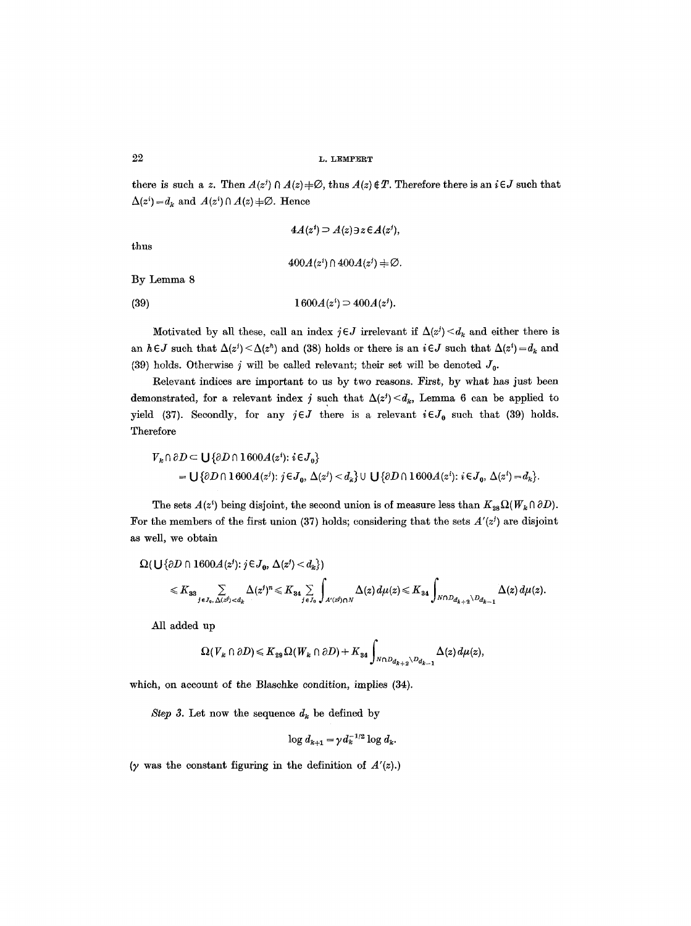there is such a z. Then  $A(z) \cap A(z) \neq \emptyset$ , thus  $A(z) \notin T$ . Therefore there is an  $i \in J$  such that  $\Delta(z^i) = d_k$  and  $A(z^i) \cap A(z) \neq \emptyset$ . Hence

$$
4A(zi) \supseteq A(z) \ni z \in A(zi),
$$
  

$$
400A(zi) \cap 400A(zi) \neq \emptyset.
$$

(39)  $1600A(z^i) \supset 400A(z^j)$ .

Motivated by all these, call an index  $j \in J$  irrelevant if  $\Delta(z^j) \leq d_k$  and either there is an  $h \in J$  such that  $\Delta(z^i) \leq \Delta(z^h)$  and (38) holds or there is an  $i \in J$  such that  $\Delta(z^i) = d_k$  and (39) holds. Otherwise j will be called relevant; their set will be denoted  $J_0$ .

Relevant indices are important to us by two reasons. First, by what has just been demonstrated, for a relevant index j such that  $\Delta(z') < d_k$ , Lemma 6 can be applied to yield (37). Secondly, for any  $j \in J$  there is a relevant  $i \in J_0$  such that (39) holds. Therefore

$$
V_k \cap \partial D \subset \bigcup \{\partial D \cap 1600A(z^i): i \in J_0\}
$$
  
= 
$$
\bigcup \{\partial D \cap 1600A(z^i): j \in J_0, \Delta(z^i) < d_k\} \cup \bigcup \{\partial D \cap 1600A(z^i): i \in J_0, \Delta(z^i) = d_k\}.
$$

The sets  $A(z^i)$  being disjoint, the second union is of measure less than  $K_{28}\Omega(W_k \cap \partial D)$ . For the members of the first union (37) holds; considering that the sets  $A'(z')$  are disjoint as well, we obtain

$$
\Omega(\bigcup {\partial D \cap 1600} A(z^j); j \in J_0, \Delta(z^j) < d_k)
$$
\n
$$
\leq K_{33} \sum_{j \in J_0, \Delta(z^j) < d_k} \Delta(z^j)^n \leq K_{34} \sum_{j \in J_0} \int_{A'(z^j) \cap N} \Delta(z) d\mu(z) \leq K_{34} \int_{N \cap D_{d_{k+2}} \setminus D_{d_{k-1}}} \Delta(z) d\mu(z).
$$

All added up

$$
\Omega(V_k \cap \partial D) \leq K_{29} \Omega(W_k \cap \partial D) + K_{34} \int_{N \cap D_{d_{k+2}} \setminus D_{d_{k-1}}} \Delta(z) d\mu(z),
$$

which, on account of the Blaschke condition, implies  $(34)$ .

*Step 3.* Let now the sequence  $d_k$  be defined by

$$
\log d_{k+1} = \gamma d_k^{-1/2} \log d_k.
$$

 $(y$  was the constant figuring in the definition of  $A'(z)$ .)

thus

By Lemma 8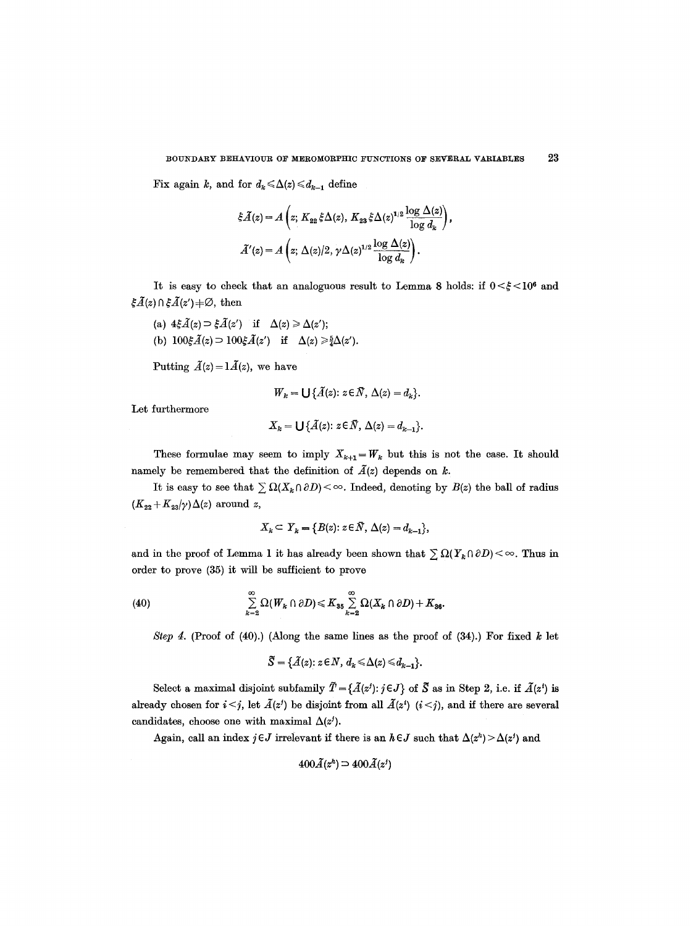Fix again k, and for  $d_k \leq \Delta(z) \leq d_{k-1}$  define

$$
\xi \widetilde{A}(z) = A\left(z; K_{22} \xi \Delta(z), K_{23} \xi \Delta(z)^{1/2} \frac{\log \Delta(z)}{\log d_k}\right),
$$
  

$$
\widetilde{A}'(z) = A\left(z; \Delta(z)/2, \gamma \Delta(z)^{1/2} \frac{\log \Delta(z)}{\log d_k}\right).
$$

It is easy to check that an analoguous result to Lemma 8 holds: if  $0 < \xi < 10^6$  and  $\xi \tilde{A}(z) \cap \xi \tilde{A}(z') + \emptyset$ , then

(a)  $4\xi \tilde{A}(z) \supset \xi \tilde{A}(z')$  if  $\Delta(z) \ge \Delta(z')$ ; (b)  $100\xi \tilde{A}(z) \supset 100\xi \tilde{A}(z')$  if  $\Delta(z) \ge \frac{5}{4}\Delta(z')$ .

Putting  $\tilde{A}(z) = 1 \tilde{A}(z)$ , we have

$$
W_k = \bigcup \{ \tilde{A}(z) : z \in \bar{N}, \Delta(z) = d_k \}.
$$

Let furthermore

$$
X_k = \bigcup \{ \tilde{A}(z) \colon z \in \tilde{N}, \Delta(z) = d_{k-1} \}.
$$

These formulae may seem to imply  $X_{k+1} = W_k$  but this is not the case. It should namely be remembered that the definition of  $\tilde{A}(z)$  depends on k.

It is easy to see that  $\sum \Omega(X_k \cap \partial D) < \infty$ . Indeed, denoting by  $B(z)$  the ball of radius  $(K_{22} + K_{23}/\gamma) \Delta(z)$  around z,

$$
X_k \subset Y_k = \{ B(z) : z \in \overline{N}, \Delta(z) = d_{k-1} \},
$$

and in the proof of Lemma 1 it has already been shown that  $\sum \Omega(Y_{\kappa} \cap \partial D) < \infty$ . Thus in order to prove (35) it will be sufficient to prove

(40) 
$$
\sum_{k=2}^{\infty} \Omega(W_k \cap \partial D) \leq K_{35} \sum_{k=2}^{\infty} \Omega(X_k \cap \partial D) + K_{36}.
$$

*Step 4.* (Proof of (40).) (Along the same lines as the proof of (34).) For fixed k let

$$
\widetilde{S} = \{\widetilde{A}(z) : z \in N, d_k \leq \Delta(z) \leq d_{k-1}\}.
$$

Select a maximal disjoint subfamily  $\tilde{T} = {\{\tilde{A}(z') : j \in J\}}$  of  $\tilde{S}$  as in Step 2, i.e. if  $\tilde{A}(z')$  is already chosen for  $i < j$ , let  $\tilde{A}(z^j)$  be disjoint from all  $\tilde{A}(z^i)$   $(i < j)$ , and if there are several candidates, choose one with maximal  $\Delta(z^j)$ .

Again, call an index  $j \in J$  irrelevant if there is an  $h \in J$  such that  $\Delta(z^h) > \Delta(z^j)$  and

$$
400\tilde{A}(z^h) \supset 400\tilde{A}(z^j)
$$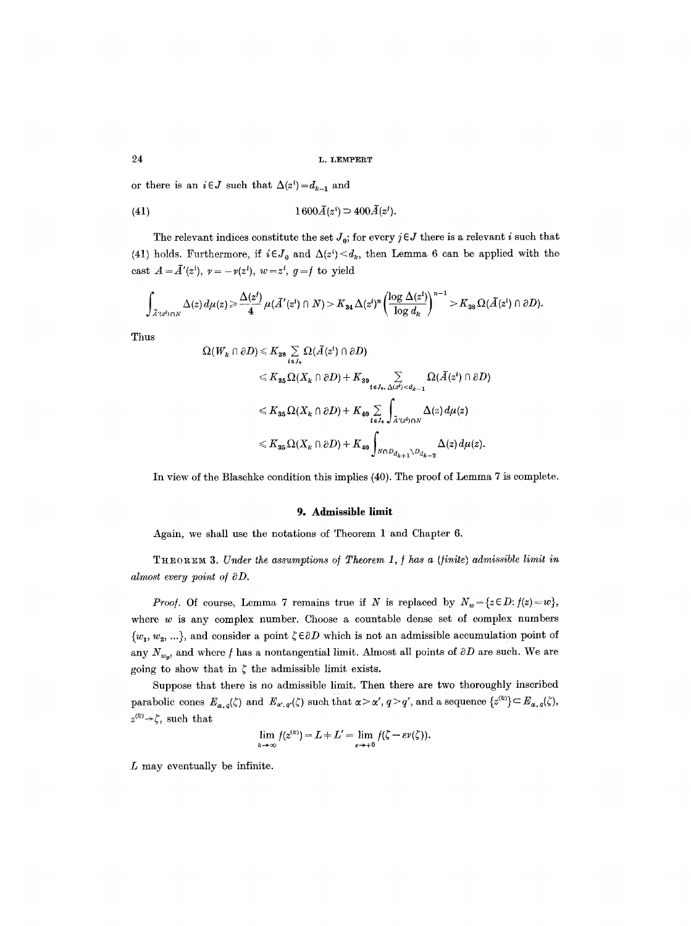or there is an  $i \in J$  such that  $\Delta(z^i) = d_{k-1}$  and

$$
(41) \t\t\t 1600\widetilde{A}(z^i) \supset 400\widetilde{A}(z^j).
$$

The relevant indices constitute the set  $J_0$ ; for every  $j \in J$  there is a relevant i such that (41) holds. Furthermore, if  $i \in J_0$  and  $\Delta(z^i) \leq d_k$ , then Lemma 6 can be applied with the cast  $A = \tilde{A}'(z^i)$ ,  $v = -\nu(z^i)$ ,  $w = z^i$ ,  $g = f$  to yield

$$
\int_{\tilde{A}'(z^i)\cap N}\Delta(z)\,d\mu(z)\geqslant \frac{\Delta(z^i)}{4}\,\mu(\tilde{A}'(z^i)\cap N)>K_{34}\,\Delta(z^i)^n\left(\frac{\log\,\Delta(z^i)}{\log\,d_k}\right)^{n-1}>K_{38}\,\Omega(\tilde{A}(z^i)\cap\partial D).
$$

Thus

$$
\Omega(W_k \cap \partial D) \leq K_{39} \sum_{i \in J_9} \Omega(\tilde{A}(z^i) \cap \partial D).
$$
  
\n
$$
\leq K_{35} \Omega(X_k \cap \partial D) + K_{39} \sum_{i \in J_9, \Delta(z^i) < d_{k-1}} \Omega(\tilde{A}(z^i) \cap \partial D)
$$
  
\n
$$
\leq K_{35} \Omega(X_k \cap \partial D) + K_{40} \sum_{i \in J_9} \int_{\tilde{A}'(z^i) \cap N} \Delta(z) d\mu(z)
$$
  
\n
$$
\leq K_{35} \Omega(X_k \cap \partial D) + K_{40} \int_{N \cap D_{d_{k+1}} \setminus D_{d_{k-2}}} \Delta(z) d\mu(z).
$$

In view of the Blaschke condition this implies (40). The proof of Lemma 7 is complete.

#### 9. Admissible limit

Again, we shall use the notations of Theorem 1 and Chapter 6.

THEOREM 3. *Under the assumptions of Theorem 1, f has a (finite) admissible limit in* almost every point of  $\partial D$ .

*Proof.* Of course, Lemma 7 remains true if N is replaced by  $N_w = \{z \in D : f(z) = w\},$ where  $w$  is any complex number. Choose a countable dense set of complex numbers  ${w_1, w_2, ...}$ , and consider a point  $\zeta \in \partial D$  which is not an admissible accumulation point of any  $N_{w_p}$ , and where f has a nontangential limit. Almost all points of  $\partial D$  are such. We are going to show that in  $\zeta$  the admissible limit exists.

Suppose that there is no admissible limit. Then there are two thoroughly inscribed parabolic cones  $E_{\alpha,q}(\zeta)$  and  $E_{\alpha',q'}(\zeta)$  such that  $\alpha > \alpha', q > q'$ , and a sequence  $\{z^{(k)}\}\subset E_{\alpha,q}(\zeta)$ ,  $z^{(k)} \rightarrow \zeta$ , such that

$$
\lim_{k\to\infty} f(z^{(k)}) = L + L' = \lim_{\varepsilon\to+0} f(\zeta - \varepsilon \nu(\zeta)).
$$

L may eventually be infinite.